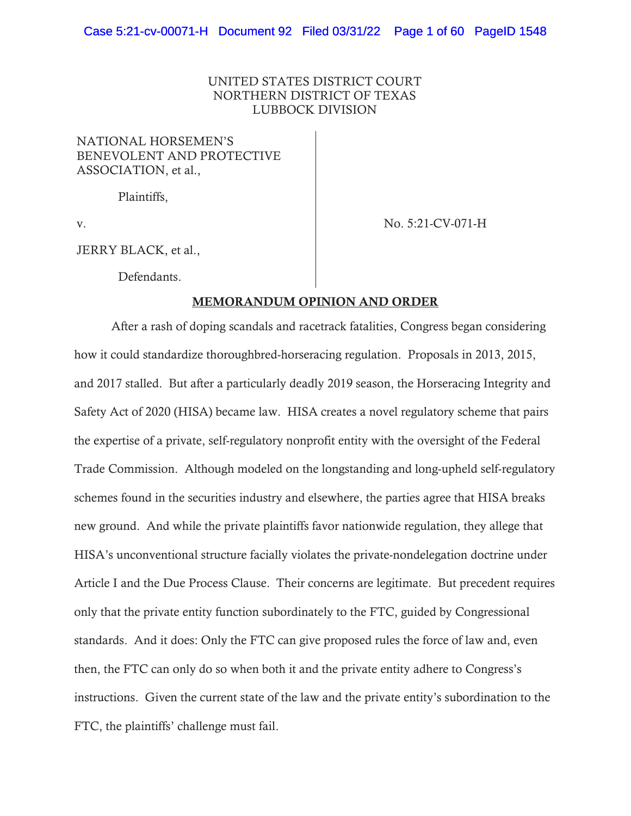## UNITED STATES DISTRICT COURT NORTHERN DISTRICT OF TEXAS LUBBOCK DIVISION

### NATIONAL HORSEMEN'S BENEVOLENT AND PROTECTIVE ASSOCIATION, et al.,

Plaintiffs,

v. No. 5:21-CV-071-H

JERRY BLACK, et al.,

Defendants.

### MEMORANDUM OPINION AND ORDER

 After a rash of doping scandals and racetrack fatalities, Congress began considering how it could standardize thoroughbred-horseracing regulation. Proposals in 2013, 2015, and 2017 stalled. But after a particularly deadly 2019 season, the Horseracing Integrity and Safety Act of 2020 (HISA) became law. HISA creates a novel regulatory scheme that pairs the expertise of a private, self-regulatory nonprofit entity with the oversight of the Federal Trade Commission. Although modeled on the longstanding and long-upheld self-regulatory schemes found in the securities industry and elsewhere, the parties agree that HISA breaks new ground. And while the private plaintiffs favor nationwide regulation, they allege that HISA's unconventional structure facially violates the private-nondelegation doctrine under Article I and the Due Process Clause. Their concerns are legitimate. But precedent requires only that the private entity function subordinately to the FTC, guided by Congressional standards. And it does: Only the FTC can give proposed rules the force of law and, even then, the FTC can only do so when both it and the private entity adhere to Congress's instructions. Given the current state of the law and the private entity's subordination to the FTC, the plaintiffs' challenge must fail.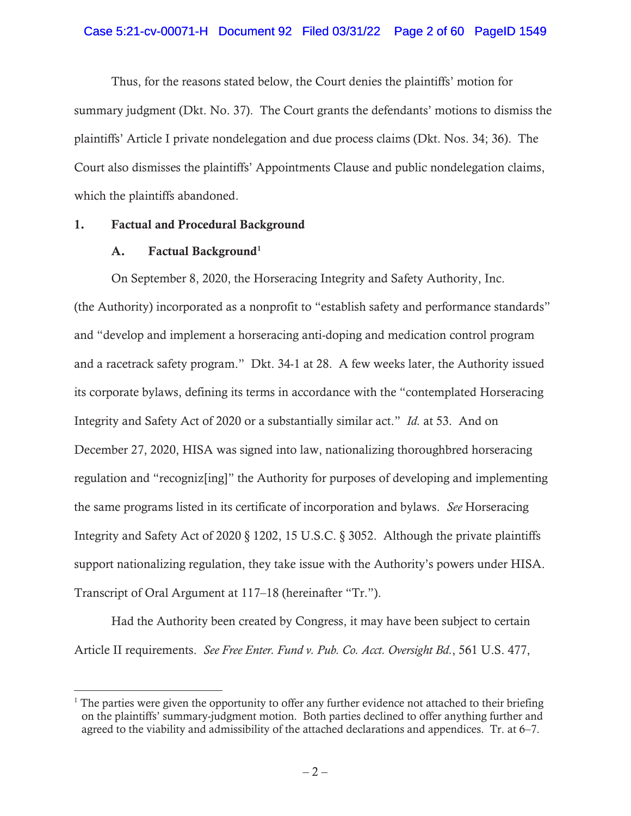### Case 5:21-cv-00071-H Document 92 Filed 03/31/22 Page 2 of 60 PageID 1549

Thus, for the reasons stated below, the Court denies the plaintiffs' motion for summary judgment (Dkt. No. 37). The Court grants the defendants' motions to dismiss the plaintiffs' Article I private nondelegation and due process claims (Dkt. Nos. 34; 36). The Court also dismisses the plaintiffs' Appointments Clause and public nondelegation claims, which the plaintiffs abandoned.

### 1. Factual and Procedural Background

### A. Factual Background<sup>1</sup>

On September 8, 2020, the Horseracing Integrity and Safety Authority, Inc. (the Authority) incorporated as a nonprofit to "establish safety and performance standards" and "develop and implement a horseracing anti-doping and medication control program and a racetrack safety program." Dkt. 34-1 at 28. A few weeks later, the Authority issued its corporate bylaws, defining its terms in accordance with the "contemplated Horseracing Integrity and Safety Act of 2020 or a substantially similar act." *Id.* at 53. And on December 27, 2020, HISA was signed into law, nationalizing thoroughbred horseracing regulation and "recogniz[ing]" the Authority for purposes of developing and implementing the same programs listed in its certificate of incorporation and bylaws. *See* Horseracing Integrity and Safety Act of 2020 § 1202, 15 U.S.C. § 3052. Although the private plaintiffs support nationalizing regulation, they take issue with the Authority's powers under HISA. Transcript of Oral Argument at 117–18 (hereinafter "Tr.").

Had the Authority been created by Congress, it may have been subject to certain Article II requirements. *See Free Enter. Fund v. Pub. Co. Acct. Oversight Bd.*, 561 U.S. 477,

<sup>&</sup>lt;sup>1</sup> The parties were given the opportunity to offer any further evidence not attached to their briefing on the plaintiffs' summary-judgment motion. Both parties declined to offer anything further and agreed to the viability and admissibility of the attached declarations and appendices. Tr. at 6–7.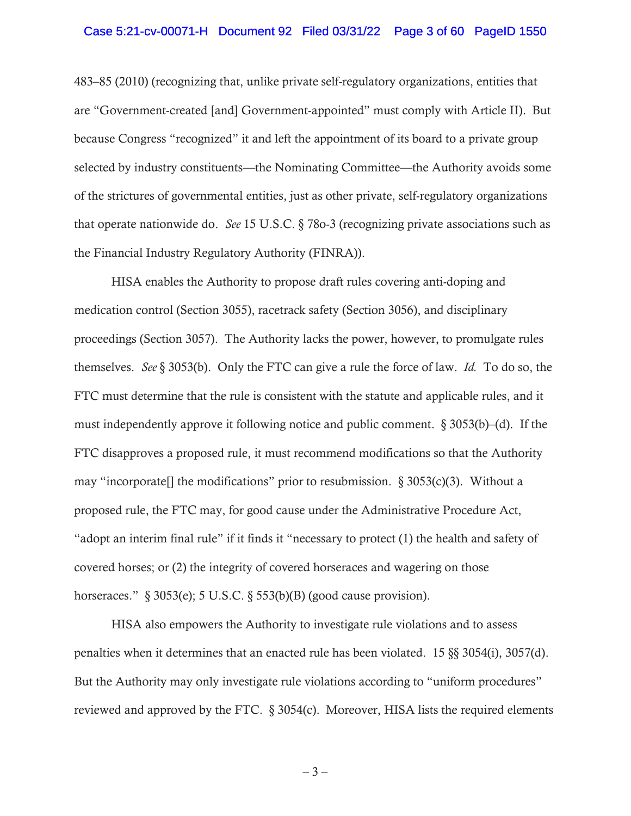### Case 5:21-cv-00071-H Document 92 Filed 03/31/22 Page 3 of 60 PageID 1550

483–85 (2010) (recognizing that, unlike private self-regulatory organizations, entities that are "Government-created [and] Government-appointed" must comply with Article II). But because Congress "recognized" it and left the appointment of its board to a private group selected by industry constituents—the Nominating Committee—the Authority avoids some of the strictures of governmental entities, just as other private, self-regulatory organizations that operate nationwide do. *See* 15 U.S.C. § 78o-3 (recognizing private associations such as the Financial Industry Regulatory Authority (FINRA)).

HISA enables the Authority to propose draft rules covering anti-doping and medication control (Section 3055), racetrack safety (Section 3056), and disciplinary proceedings (Section 3057). The Authority lacks the power, however, to promulgate rules themselves. *See* § 3053(b). Only the FTC can give a rule the force of law. *Id.* To do so, the FTC must determine that the rule is consistent with the statute and applicable rules, and it must independently approve it following notice and public comment.  $\S 3053(b)$ –(d). If the FTC disapproves a proposed rule, it must recommend modifications so that the Authority may "incorporate. The modifications" prior to resubmission.  $\S 3053(c)(3)$ . Without a proposed rule, the FTC may, for good cause under the Administrative Procedure Act, "adopt an interim final rule" if it finds it "necessary to protect (1) the health and safety of covered horses; or (2) the integrity of covered horseraces and wagering on those horseraces."  $\S 3053(e)$ ; 5 U.S.C.  $\S 553(b)(B)$  (good cause provision).

HISA also empowers the Authority to investigate rule violations and to assess penalties when it determines that an enacted rule has been violated. 15 §§ 3054(i), 3057(d). But the Authority may only investigate rule violations according to "uniform procedures" reviewed and approved by the FTC. § 3054(c). Moreover, HISA lists the required elements

– 3 –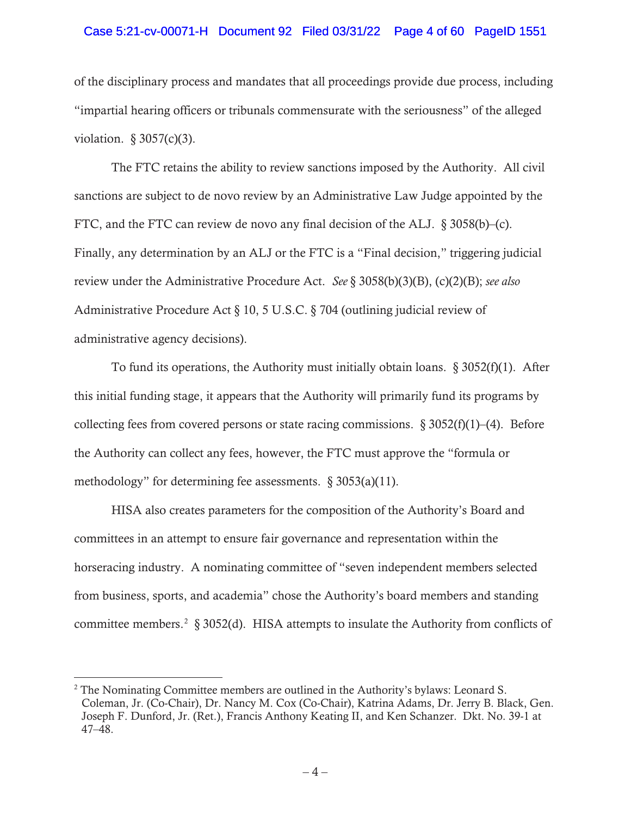### Case 5:21-cv-00071-H Document 92 Filed 03/31/22 Page 4 of 60 PageID 1551

of the disciplinary process and mandates that all proceedings provide due process, including "impartial hearing officers or tribunals commensurate with the seriousness" of the alleged violation.  $§$  3057(c)(3).

The FTC retains the ability to review sanctions imposed by the Authority. All civil sanctions are subject to de novo review by an Administrative Law Judge appointed by the FTC, and the FTC can review de novo any final decision of the ALJ. § 3058(b)–(c). Finally, any determination by an ALJ or the FTC is a "Final decision," triggering judicial review under the Administrative Procedure Act. *See* § 3058(b)(3)(B), (c)(2)(B); *see also*  Administrative Procedure Act § 10, 5 U.S.C. § 704 (outlining judicial review of administrative agency decisions).

To fund its operations, the Authority must initially obtain loans.  $\S 3052(f)(1)$ . After this initial funding stage, it appears that the Authority will primarily fund its programs by collecting fees from covered persons or state racing commissions.  $\S 3052(f)(1)–(4)$ . Before the Authority can collect any fees, however, the FTC must approve the "formula or methodology" for determining fee assessments.  $\S 3053(a)(11)$ .

HISA also creates parameters for the composition of the Authority's Board and committees in an attempt to ensure fair governance and representation within the horseracing industry. A nominating committee of "seven independent members selected from business, sports, and academia" chose the Authority's board members and standing committee members.<sup>2</sup> § 3052(d). HISA attempts to insulate the Authority from conflicts of

 $2^2$  The Nominating Committee members are outlined in the Authority's bylaws: Leonard S. Coleman, Jr. (Co-Chair), Dr. Nancy M. Cox (Co-Chair), Katrina Adams, Dr. Jerry B. Black, Gen. Joseph F. Dunford, Jr. (Ret.), Francis Anthony Keating II, and Ken Schanzer. Dkt. No. 39-1 at 47–48.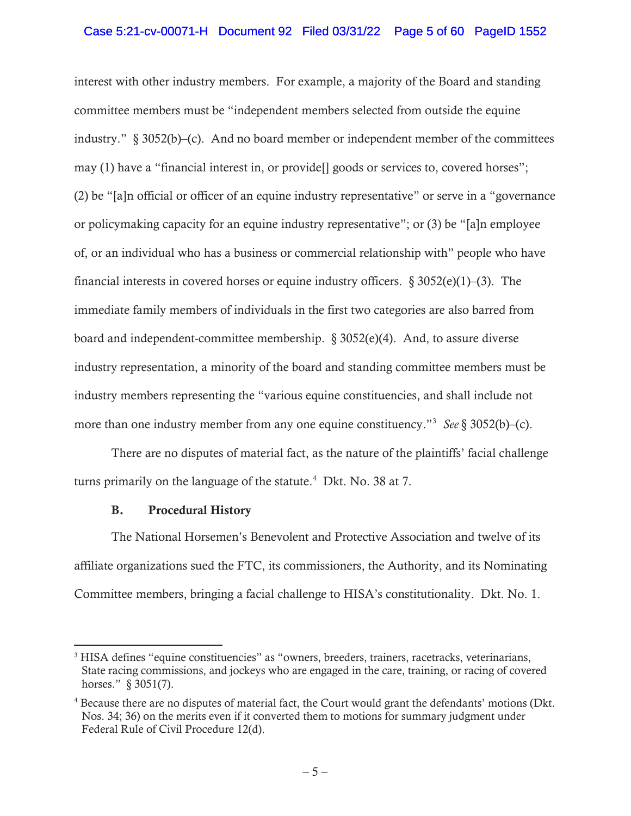## Case 5:21-cv-00071-H Document 92 Filed 03/31/22 Page 5 of 60 PageID 1552

interest with other industry members. For example, a majority of the Board and standing committee members must be "independent members selected from outside the equine industry." § 3052(b)–(c). And no board member or independent member of the committees may (1) have a "financial interest in, or provide[] goods or services to, covered horses"; (2) be "[a]n official or officer of an equine industry representative" or serve in a "governance or policymaking capacity for an equine industry representative"; or (3) be "[a]n employee of, or an individual who has a business or commercial relationship with" people who have financial interests in covered horses or equine industry officers.  $\S 3052(e)(1)$ –(3). The immediate family members of individuals in the first two categories are also barred from board and independent-committee membership. § 3052(e)(4). And, to assure diverse industry representation, a minority of the board and standing committee members must be industry members representing the "various equine constituencies, and shall include not more than one industry member from any one equine constituency."3 *See* § 3052(b)–(c).

There are no disputes of material fact, as the nature of the plaintiffs' facial challenge turns primarily on the language of the statute. $4$  Dkt. No. 38 at 7.

# B. Procedural History

The National Horsemen's Benevolent and Protective Association and twelve of its affiliate organizations sued the FTC, its commissioners, the Authority, and its Nominating Committee members, bringing a facial challenge to HISA's constitutionality. Dkt. No. 1.

<sup>&</sup>lt;sup>3</sup> HISA defines "equine constituencies" as "owners, breeders, trainers, racetracks, veterinarians, State racing commissions, and jockeys who are engaged in the care, training, or racing of covered horses." § 3051(7).

<sup>&</sup>lt;sup>4</sup> Because there are no disputes of material fact, the Court would grant the defendants' motions (Dkt. Nos. 34; 36) on the merits even if it converted them to motions for summary judgment under Federal Rule of Civil Procedure 12(d).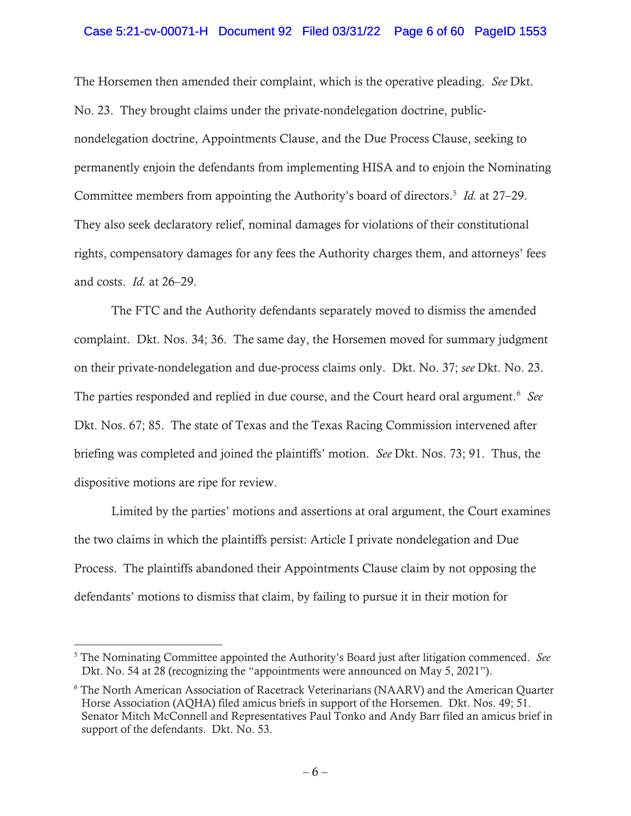### Case 5:21-cv-00071-H Document 92 Filed 03/31/22 Page 6 of 60 PageID 1553

The Horsemen then amended their complaint, which is the operative pleading. *See* Dkt. No. 23. They brought claims under the private-nondelegation doctrine, publicnondelegation doctrine, Appointments Clause, and the Due Process Clause, seeking to permanently enjoin the defendants from implementing HISA and to enjoin the Nominating Committee members from appointing the Authority's board of directors.5 *Id.* at 27–29. They also seek declaratory relief, nominal damages for violations of their constitutional rights, compensatory damages for any fees the Authority charges them, and attorneys' fees and costs. *Id.* at 26–29.

The FTC and the Authority defendants separately moved to dismiss the amended complaint. Dkt. Nos. 34; 36. The same day, the Horsemen moved for summary judgment on their private-nondelegation and due-process claims only. Dkt. No. 37; *see* Dkt. No. 23. The parties responded and replied in due course, and the Court heard oral argument.<sup>6</sup> See Dkt. Nos. 67; 85. The state of Texas and the Texas Racing Commission intervened after briefing was completed and joined the plaintiffs' motion. *See* Dkt. Nos. 73; 91. Thus, the dispositive motions are ripe for review.

Limited by the parties' motions and assertions at oral argument, the Court examines the two claims in which the plaintiffs persist: Article I private nondelegation and Due Process. The plaintiffs abandoned their Appointments Clause claim by not opposing the defendants' motions to dismiss that claim, by failing to pursue it in their motion for

<sup>5</sup> The Nominating Committee appointed the Authority's Board just after litigation commenced. *See*  Dkt. No. 54 at 28 (recognizing the "appointments were announced on May 5, 2021").

<sup>&</sup>lt;sup>6</sup> The North American Association of Racetrack Veterinarians (NAARV) and the American Quarter Horse Association (AQHA) filed amicus briefs in support of the Horsemen. Dkt. Nos. 49; 51. Senator Mitch McConnell and Representatives Paul Tonko and Andy Barr filed an amicus brief in support of the defendants. Dkt. No. 53.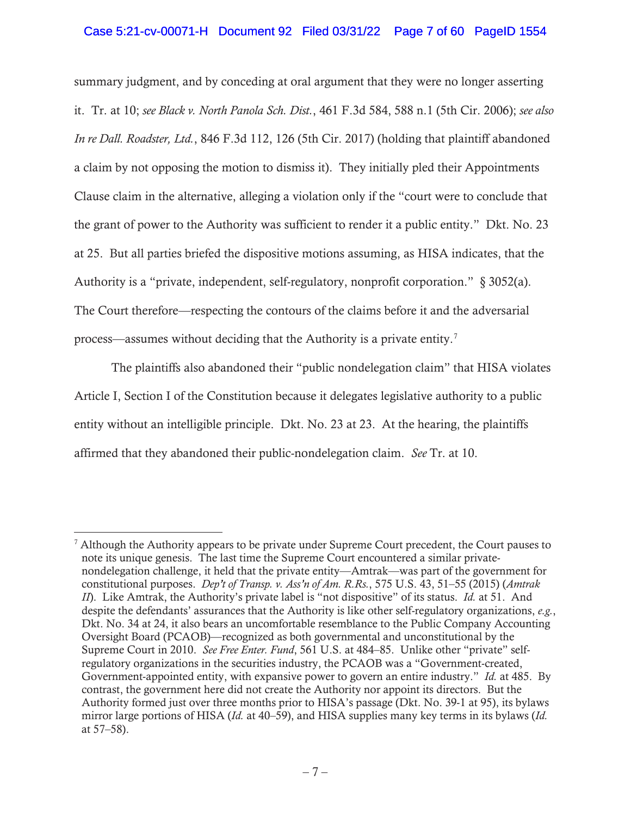## Case 5:21-cv-00071-H Document 92 Filed 03/31/22 Page 7 of 60 PageID 1554

summary judgment, and by conceding at oral argument that they were no longer asserting it. Tr. at 10; *see Black v. North Panola Sch. Dist.*, 461 F.3d 584, 588 n.1 (5th Cir. 2006); *see also In re Dall. Roadster, Ltd.*, 846 F.3d 112, 126 (5th Cir. 2017) (holding that plaintiff abandoned a claim by not opposing the motion to dismiss it). They initially pled their Appointments Clause claim in the alternative, alleging a violation only if the "court were to conclude that the grant of power to the Authority was sufficient to render it a public entity." Dkt. No. 23 at 25. But all parties briefed the dispositive motions assuming, as HISA indicates, that the Authority is a "private, independent, self-regulatory, nonprofit corporation." § 3052(a). The Court therefore—respecting the contours of the claims before it and the adversarial process—assumes without deciding that the Authority is a private entity.<sup>7</sup>

The plaintiffs also abandoned their "public nondelegation claim" that HISA violates Article I, Section I of the Constitution because it delegates legislative authority to a public entity without an intelligible principle. Dkt. No. 23 at 23. At the hearing, the plaintiffs affirmed that they abandoned their public-nondelegation claim. *See* Tr. at 10.

 $<sup>7</sup>$  Although the Authority appears to be private under Supreme Court precedent, the Court pauses to</sup> note its unique genesis. The last time the Supreme Court encountered a similar privatenondelegation challenge, it held that the private entity—Amtrak—was part of the government for constitutional purposes. *Dep't of Transp. v. Ass'n of Am. R.Rs.*, 575 U.S. 43, 51–55 (2015) (*Amtrak II*). Like Amtrak, the Authority's private label is "not dispositive" of its status. *Id.* at 51. And despite the defendants' assurances that the Authority is like other self-regulatory organizations, *e.g.*, Dkt. No. 34 at 24, it also bears an uncomfortable resemblance to the Public Company Accounting Oversight Board (PCAOB)—recognized as both governmental and unconstitutional by the Supreme Court in 2010. *See Free Enter. Fund*, 561 U.S. at 484–85. Unlike other "private" selfregulatory organizations in the securities industry, the PCAOB was a "Government-created, Government-appointed entity, with expansive power to govern an entire industry." *Id.* at 485. By contrast, the government here did not create the Authority nor appoint its directors. But the Authority formed just over three months prior to HISA's passage (Dkt. No. 39-1 at 95), its bylaws mirror large portions of HISA (*Id.* at 40–59), and HISA supplies many key terms in its bylaws (*Id.* at 57–58).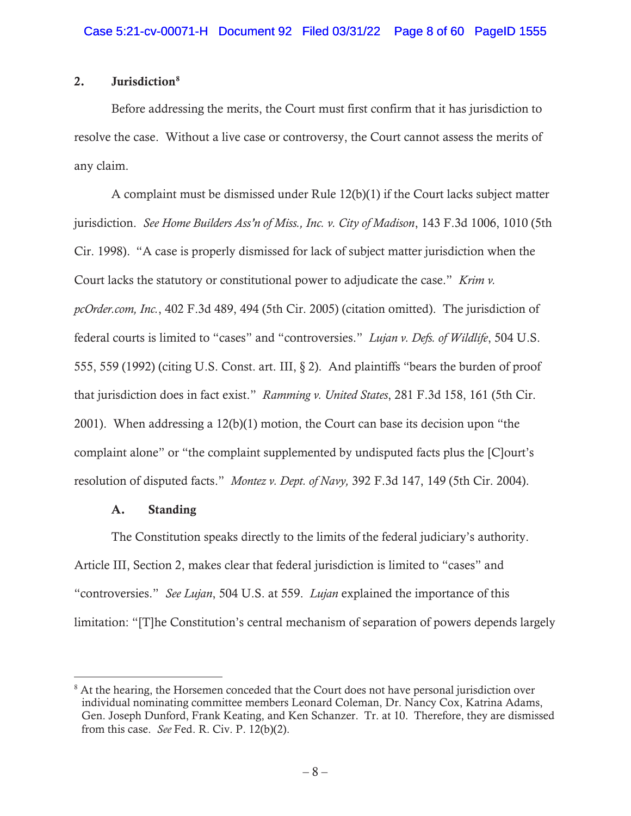# 2. Jurisdiction<sup>8</sup>

Before addressing the merits, the Court must first confirm that it has jurisdiction to resolve the case. Without a live case or controversy, the Court cannot assess the merits of any claim.

A complaint must be dismissed under Rule 12(b)(1) if the Court lacks subject matter jurisdiction. *See Home Builders Ass'n of Miss., Inc. v. City of Madison*, 143 F.3d 1006, 1010 (5th Cir. 1998). "A case is properly dismissed for lack of subject matter jurisdiction when the Court lacks the statutory or constitutional power to adjudicate the case." *Krim v. pcOrder.com, Inc.*, 402 F.3d 489, 494 (5th Cir. 2005) (citation omitted). The jurisdiction of federal courts is limited to "cases" and "controversies." *Lujan v. Defs. of Wildlife*, 504 U.S. 555, 559 (1992) (citing U.S. Const. art. III, § 2). And plaintiffs "bears the burden of proof that jurisdiction does in fact exist." *Ramming v. United States*, 281 F.3d 158, 161 (5th Cir. 2001). When addressing a 12(b)(1) motion, the Court can base its decision upon "the complaint alone" or "the complaint supplemented by undisputed facts plus the [C]ourt's resolution of disputed facts." *Montez v. Dept. of Navy,* 392 F.3d 147, 149 (5th Cir. 2004).

### A. Standing

The Constitution speaks directly to the limits of the federal judiciary's authority. Article III, Section 2, makes clear that federal jurisdiction is limited to "cases" and "controversies." *See Lujan*, 504 U.S. at 559. *Lujan* explained the importance of this limitation: "[T]he Constitution's central mechanism of separation of powers depends largely

<sup>&</sup>lt;sup>8</sup> At the hearing, the Horsemen conceded that the Court does not have personal jurisdiction over individual nominating committee members Leonard Coleman, Dr. Nancy Cox, Katrina Adams, Gen. Joseph Dunford, Frank Keating, and Ken Schanzer. Tr. at 10. Therefore, they are dismissed from this case. *See* Fed. R. Civ. P. 12(b)(2).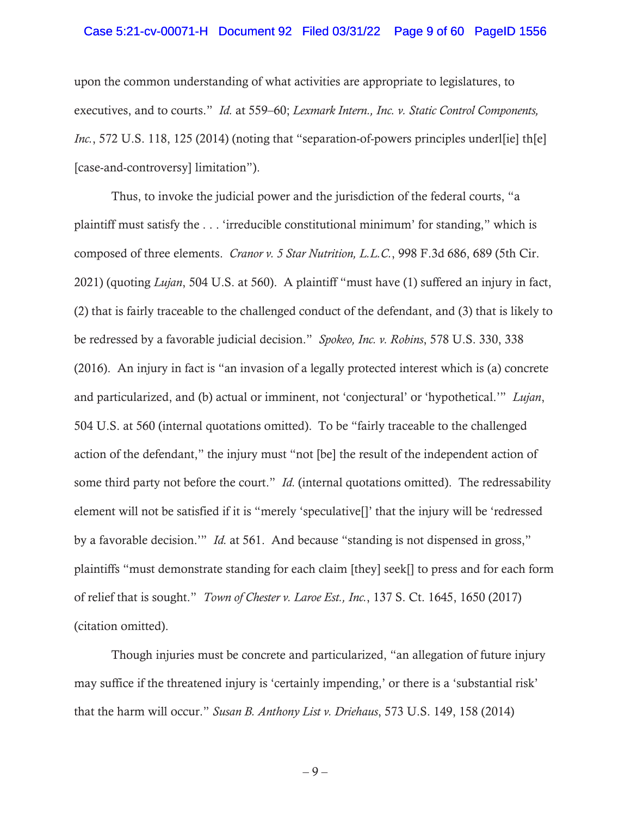### Case 5:21-cv-00071-H Document 92 Filed 03/31/22 Page 9 of 60 PageID 1556

upon the common understanding of what activities are appropriate to legislatures, to executives, and to courts." *Id.* at 559–60; *Lexmark Intern., Inc. v. Static Control Components, Inc.*, 572 U.S. 118, 125 (2014) (noting that "separation-of-powers principles underl[ie] th[e] [case-and-controversy] limitation").

Thus, to invoke the judicial power and the jurisdiction of the federal courts, "a plaintiff must satisfy the . . . 'irreducible constitutional minimum' for standing," which is composed of three elements. *Cranor v. 5 Star Nutrition, L.L.C.*, 998 F.3d 686, 689 (5th Cir. 2021) (quoting *Lujan*, 504 U.S. at 560). A plaintiff "must have (1) suffered an injury in fact, (2) that is fairly traceable to the challenged conduct of the defendant, and (3) that is likely to be redressed by a favorable judicial decision." *Spokeo, Inc. v. Robins*, 578 U.S. 330, 338 (2016). An injury in fact is "an invasion of a legally protected interest which is (a) concrete and particularized, and (b) actual or imminent, not 'conjectural' or 'hypothetical.'" *Lujan*, 504 U.S. at 560 (internal quotations omitted). To be "fairly traceable to the challenged action of the defendant," the injury must "not [be] the result of the independent action of some third party not before the court." *Id.* (internal quotations omitted). The redressability element will not be satisfied if it is "merely 'speculative[]' that the injury will be 'redressed by a favorable decision.'" *Id.* at 561. And because "standing is not dispensed in gross," plaintiffs "must demonstrate standing for each claim [they] seek[] to press and for each form of relief that is sought." *Town of Chester v. Laroe Est., Inc.*, 137 S. Ct. 1645, 1650 (2017) (citation omitted).

Though injuries must be concrete and particularized, "an allegation of future injury may suffice if the threatened injury is 'certainly impending,' or there is a 'substantial risk' that the harm will occur." *Susan B. Anthony List v. Driehaus*, 573 U.S. 149, 158 (2014)

– 9 –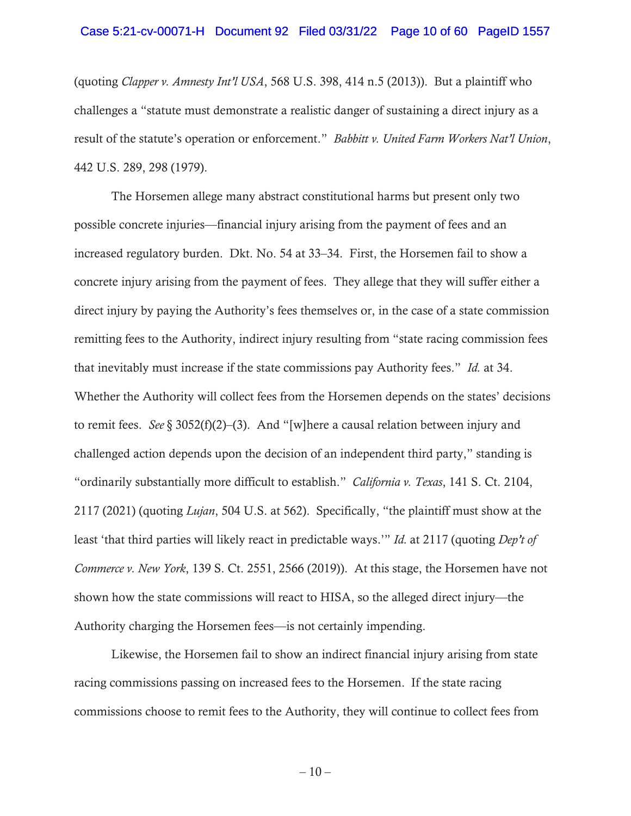### Case 5:21-cv-00071-H Document 92 Filed 03/31/22 Page 10 of 60 PageID 1557

(quoting *Clapper v. Amnesty Int'l USA*, 568 U.S. 398, 414 n.5 (2013)). But a plaintiff who challenges a "statute must demonstrate a realistic danger of sustaining a direct injury as a result of the statute's operation or enforcement." *Babbitt v. United Farm Workers Nat'l Union*, 442 U.S. 289, 298 (1979).

The Horsemen allege many abstract constitutional harms but present only two possible concrete injuries—financial injury arising from the payment of fees and an increased regulatory burden. Dkt. No. 54 at 33–34. First, the Horsemen fail to show a concrete injury arising from the payment of fees. They allege that they will suffer either a direct injury by paying the Authority's fees themselves or, in the case of a state commission remitting fees to the Authority, indirect injury resulting from "state racing commission fees that inevitably must increase if the state commissions pay Authority fees." *Id.* at 34. Whether the Authority will collect fees from the Horsemen depends on the states' decisions to remit fees. *See* § 3052(f)(2)–(3). And "[w]here a causal relation between injury and challenged action depends upon the decision of an independent third party," standing is "ordinarily substantially more difficult to establish." *California v. Texas*, 141 S. Ct. 2104, 2117 (2021) (quoting *Lujan*, 504 U.S. at 562). Specifically, "the plaintiff must show at the least 'that third parties will likely react in predictable ways.'" *Id.* at 2117 (quoting *Dep't of Commerce v. New York*, 139 S. Ct. 2551, 2566 (2019)). At this stage, the Horsemen have not shown how the state commissions will react to HISA, so the alleged direct injury—the Authority charging the Horsemen fees—is not certainly impending.

Likewise, the Horsemen fail to show an indirect financial injury arising from state racing commissions passing on increased fees to the Horsemen. If the state racing commissions choose to remit fees to the Authority, they will continue to collect fees from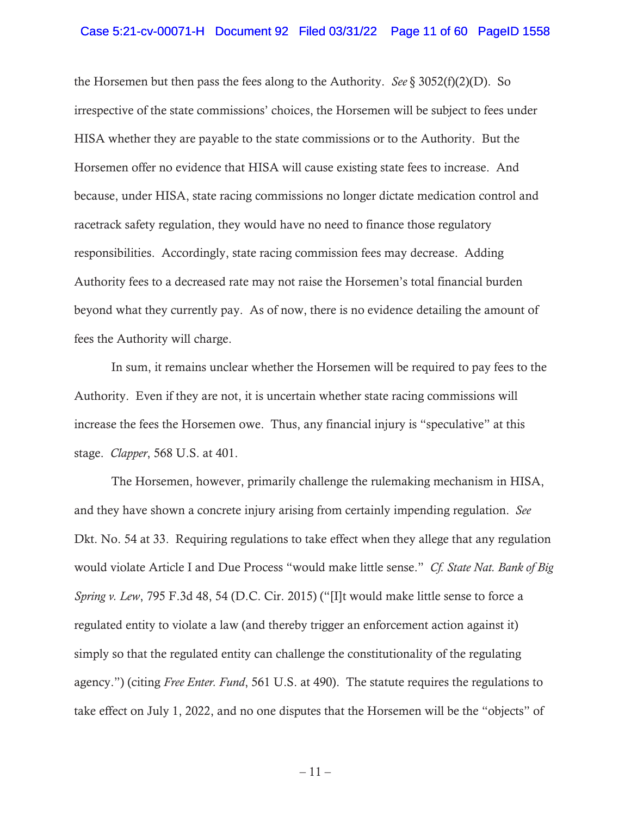### Case 5:21-cv-00071-H Document 92 Filed 03/31/22 Page 11 of 60 PageID 1558

the Horsemen but then pass the fees along to the Authority. *See*  $\S$  3052(f)(2)(D). So irrespective of the state commissions' choices, the Horsemen will be subject to fees under HISA whether they are payable to the state commissions or to the Authority. But the Horsemen offer no evidence that HISA will cause existing state fees to increase. And because, under HISA, state racing commissions no longer dictate medication control and racetrack safety regulation, they would have no need to finance those regulatory responsibilities. Accordingly, state racing commission fees may decrease. Adding Authority fees to a decreased rate may not raise the Horsemen's total financial burden beyond what they currently pay. As of now, there is no evidence detailing the amount of fees the Authority will charge.

In sum, it remains unclear whether the Horsemen will be required to pay fees to the Authority. Even if they are not, it is uncertain whether state racing commissions will increase the fees the Horsemen owe. Thus, any financial injury is "speculative" at this stage. *Clapper*, 568 U.S. at 401.

The Horsemen, however, primarily challenge the rulemaking mechanism in HISA, and they have shown a concrete injury arising from certainly impending regulation. *See*  Dkt. No. 54 at 33. Requiring regulations to take effect when they allege that any regulation would violate Article I and Due Process "would make little sense." *Cf. State Nat. Bank of Big Spring v. Lew*, 795 F.3d 48, 54 (D.C. Cir. 2015) ("[I]t would make little sense to force a regulated entity to violate a law (and thereby trigger an enforcement action against it) simply so that the regulated entity can challenge the constitutionality of the regulating agency.") (citing *Free Enter. Fund*, 561 U.S. at 490). The statute requires the regulations to take effect on July 1, 2022, and no one disputes that the Horsemen will be the "objects" of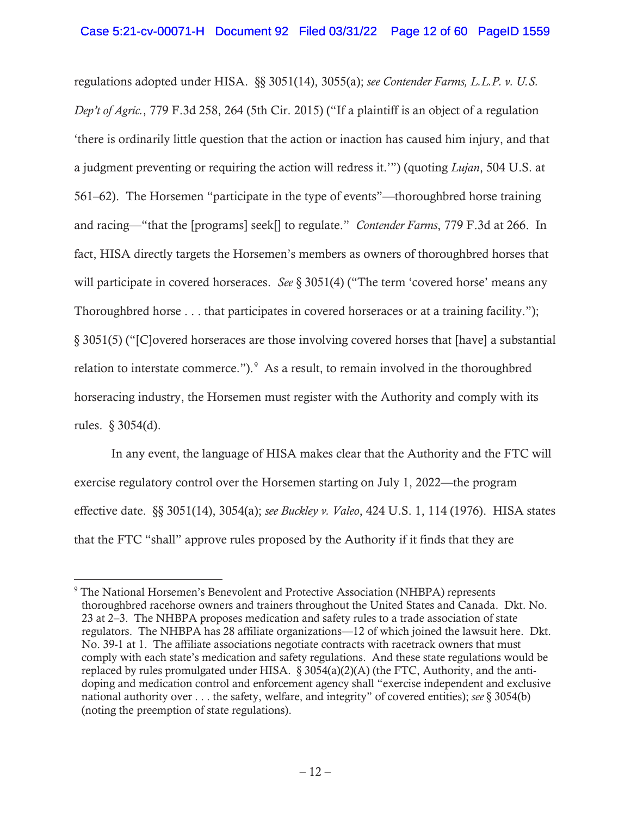regulations adopted under HISA. §§ 3051(14), 3055(a); *see Contender Farms, L.L.P. v. U.S. Dep't of Agric.*, 779 F.3d 258, 264 (5th Cir. 2015) ("If a plaintiff is an object of a regulation 'there is ordinarily little question that the action or inaction has caused him injury, and that a judgment preventing or requiring the action will redress it.'") (quoting *Lujan*, 504 U.S. at 561–62). The Horsemen "participate in the type of events"—thoroughbred horse training and racing—"that the [programs] seek[] to regulate." *Contender Farms*, 779 F.3d at 266. In fact, HISA directly targets the Horsemen's members as owners of thoroughbred horses that will participate in covered horseraces. *See* § 3051(4) ("The term 'covered horse' means any Thoroughbred horse . . . that participates in covered horseraces or at a training facility."); § 3051(5) ("[C]overed horseraces are those involving covered horses that [have] a substantial relation to interstate commerce."). $\degree$  As a result, to remain involved in the thoroughbred horseracing industry, the Horsemen must register with the Authority and comply with its rules. § 3054(d).

In any event, the language of HISA makes clear that the Authority and the FTC will exercise regulatory control over the Horsemen starting on July 1, 2022—the program effective date. §§ 3051(14), 3054(a); *see Buckley v. Valeo*, 424 U.S. 1, 114 (1976). HISA states that the FTC "shall" approve rules proposed by the Authority if it finds that they are

<sup>9</sup> The National Horsemen's Benevolent and Protective Association (NHBPA) represents thoroughbred racehorse owners and trainers throughout the United States and Canada. Dkt. No. 23 at 2–3. The NHBPA proposes medication and safety rules to a trade association of state regulators. The NHBPA has 28 affiliate organizations—12 of which joined the lawsuit here. Dkt. No. 39-1 at 1. The affiliate associations negotiate contracts with racetrack owners that must comply with each state's medication and safety regulations. And these state regulations would be replaced by rules promulgated under HISA. § 3054(a)(2)(A) (the FTC, Authority, and the antidoping and medication control and enforcement agency shall "exercise independent and exclusive national authority over . . . the safety, welfare, and integrity" of covered entities); *see* § 3054(b) (noting the preemption of state regulations).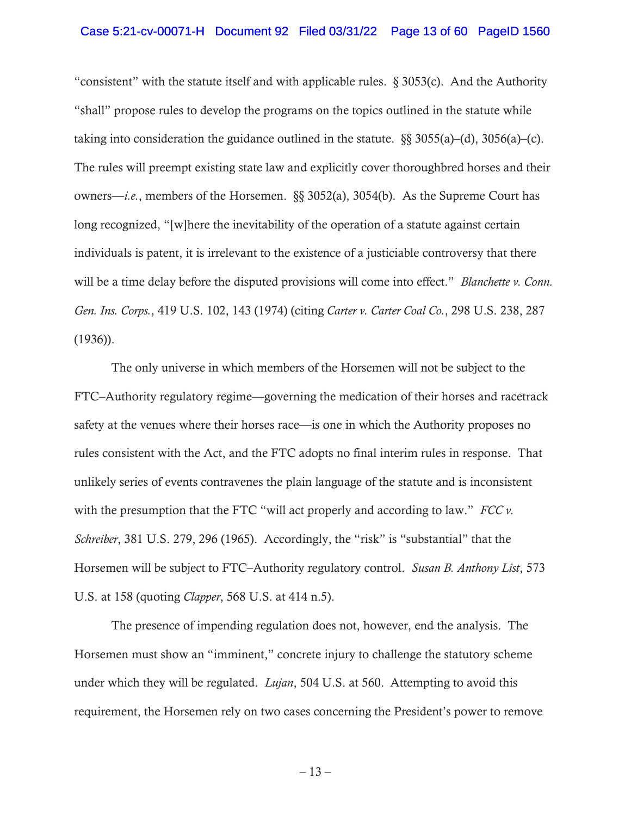### Case 5:21-cv-00071-H Document 92 Filed 03/31/22 Page 13 of 60 PageID 1560

"consistent" with the statute itself and with applicable rules. § 3053(c). And the Authority "shall" propose rules to develop the programs on the topics outlined in the statute while taking into consideration the guidance outlined in the statute.  $\S$  3055(a)–(d), 3056(a)–(c). The rules will preempt existing state law and explicitly cover thoroughbred horses and their owners—*i.e.*, members of the Horsemen. §§ 3052(a), 3054(b). As the Supreme Court has long recognized, "[w]here the inevitability of the operation of a statute against certain individuals is patent, it is irrelevant to the existence of a justiciable controversy that there will be a time delay before the disputed provisions will come into effect." *Blanchette v. Conn. Gen. Ins. Corps.*, 419 U.S. 102, 143 (1974) (citing *Carter v. Carter Coal Co.*, 298 U.S. 238, 287 (1936)).

The only universe in which members of the Horsemen will not be subject to the FTC–Authority regulatory regime—governing the medication of their horses and racetrack safety at the venues where their horses race—is one in which the Authority proposes no rules consistent with the Act, and the FTC adopts no final interim rules in response. That unlikely series of events contravenes the plain language of the statute and is inconsistent with the presumption that the FTC "will act properly and according to law." *FCC v. Schreiber*, 381 U.S. 279, 296 (1965). Accordingly, the "risk" is "substantial" that the Horsemen will be subject to FTC–Authority regulatory control. *Susan B. Anthony List*, 573 U.S. at 158 (quoting *Clapper*, 568 U.S. at 414 n.5).

The presence of impending regulation does not, however, end the analysis. The Horsemen must show an "imminent," concrete injury to challenge the statutory scheme under which they will be regulated. *Lujan*, 504 U.S. at 560. Attempting to avoid this requirement, the Horsemen rely on two cases concerning the President's power to remove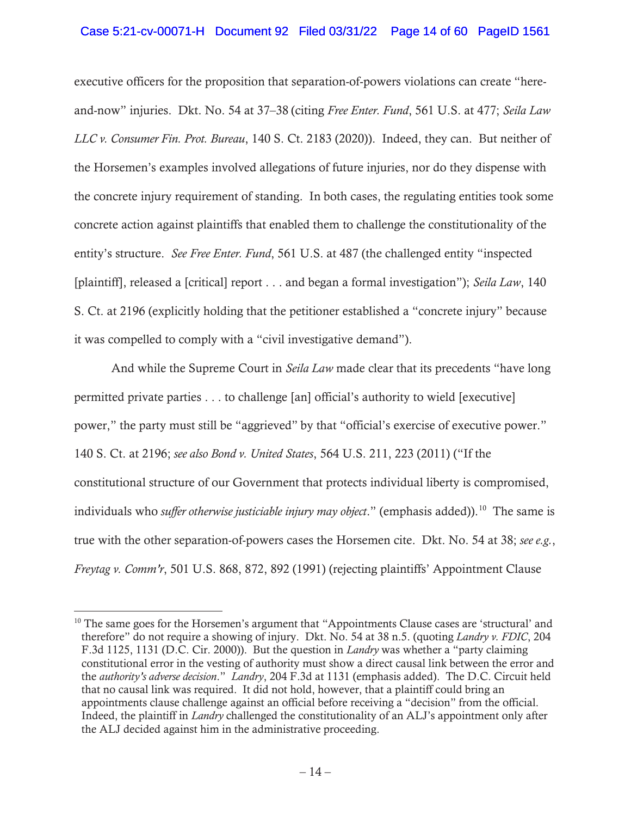# Case 5:21-cv-00071-H Document 92 Filed 03/31/22 Page 14 of 60 PageID 1561

executive officers for the proposition that separation-of-powers violations can create "hereand-now" injuries. Dkt. No. 54 at 37–38 (citing *Free Enter. Fund*, 561 U.S. at 477; *Seila Law LLC v. Consumer Fin. Prot. Bureau*, 140 S. Ct. 2183 (2020)). Indeed, they can. But neither of the Horsemen's examples involved allegations of future injuries, nor do they dispense with the concrete injury requirement of standing. In both cases, the regulating entities took some concrete action against plaintiffs that enabled them to challenge the constitutionality of the entity's structure. *See Free Enter. Fund*, 561 U.S. at 487 (the challenged entity "inspected [plaintiff], released a [critical] report . . . and began a formal investigation"); *Seila Law*, 140 S. Ct. at 2196 (explicitly holding that the petitioner established a "concrete injury" because it was compelled to comply with a "civil investigative demand").

And while the Supreme Court in *Seila Law* made clear that its precedents "have long permitted private parties . . . to challenge [an] official's authority to wield [executive] power," the party must still be "aggrieved" by that "official's exercise of executive power." 140 S. Ct. at 2196; *see also Bond v. United States*, 564 U.S. 211, 223 (2011) ("If the constitutional structure of our Government that protects individual liberty is compromised, individuals who *suffer otherwise justiciable injury may object*." (emphasis added)).<sup>10</sup> The same is true with the other separation-of-powers cases the Horsemen cite. Dkt. No. 54 at 38; *see e.g.*, *Freytag v. Comm'r*, 501 U.S. 868, 872, 892 (1991) (rejecting plaintiffs' Appointment Clause

<sup>&</sup>lt;sup>10</sup> The same goes for the Horsemen's argument that "Appointments Clause cases are 'structural' and therefore" do not require a showing of injury. Dkt. No. 54 at 38 n.5. (quoting *Landry v. FDIC*, 204 F.3d 1125, 1131 (D.C. Cir. 2000)). But the question in *Landry* was whether a "party claiming constitutional error in the vesting of authority must show a direct causal link between the error and the *authority's adverse decision*." *Landry*, 204 F.3d at 1131 (emphasis added). The D.C. Circuit held that no causal link was required. It did not hold, however, that a plaintiff could bring an appointments clause challenge against an official before receiving a "decision" from the official. Indeed, the plaintiff in *Landry* challenged the constitutionality of an ALJ's appointment only after the ALJ decided against him in the administrative proceeding.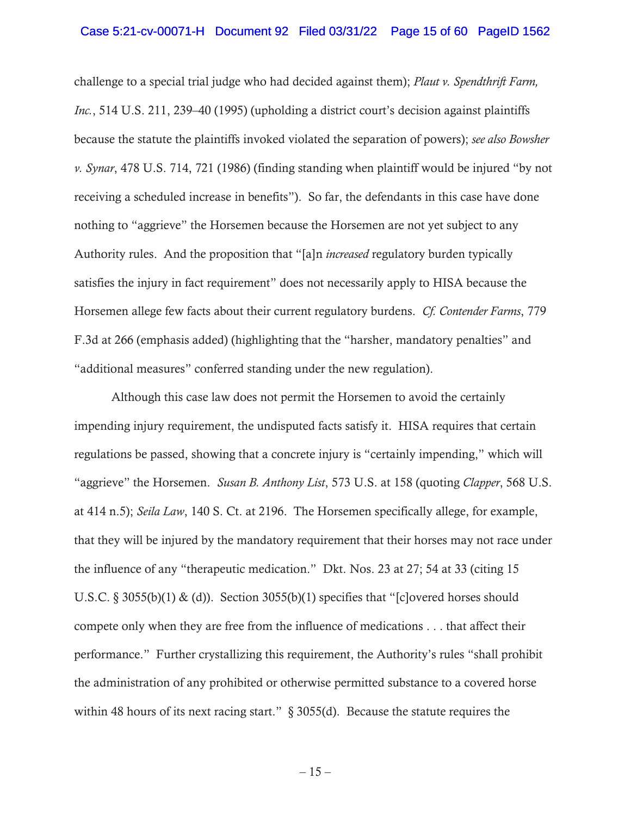### Case 5:21-cv-00071-H Document 92 Filed 03/31/22 Page 15 of 60 PageID 1562

challenge to a special trial judge who had decided against them); *Plaut v. Spendthrift Farm, Inc.*, 514 U.S. 211, 239–40 (1995) (upholding a district court's decision against plaintiffs because the statute the plaintiffs invoked violated the separation of powers); *see also Bowsher v. Synar*, 478 U.S. 714, 721 (1986) (finding standing when plaintiff would be injured "by not receiving a scheduled increase in benefits"). So far, the defendants in this case have done nothing to "aggrieve" the Horsemen because the Horsemen are not yet subject to any Authority rules. And the proposition that "[a]n *increased* regulatory burden typically satisfies the injury in fact requirement" does not necessarily apply to HISA because the Horsemen allege few facts about their current regulatory burdens. *Cf. Contender Farms*, 779 F.3d at 266 (emphasis added) (highlighting that the "harsher, mandatory penalties" and "additional measures" conferred standing under the new regulation).

Although this case law does not permit the Horsemen to avoid the certainly impending injury requirement, the undisputed facts satisfy it. HISA requires that certain regulations be passed, showing that a concrete injury is "certainly impending," which will "aggrieve" the Horsemen. *Susan B. Anthony List*, 573 U.S. at 158 (quoting *Clapper*, 568 U.S. at 414 n.5); *Seila Law*, 140 S. Ct. at 2196. The Horsemen specifically allege, for example, that they will be injured by the mandatory requirement that their horses may not race under the influence of any "therapeutic medication." Dkt. Nos. 23 at 27; 54 at 33 (citing 15 U.S.C. § 3055(b)(1) & (d)). Section 3055(b)(1) specifies that "[c]overed horses should compete only when they are free from the influence of medications . . . that affect their performance." Further crystallizing this requirement, the Authority's rules "shall prohibit the administration of any prohibited or otherwise permitted substance to a covered horse within 48 hours of its next racing start." § 3055(d). Because the statute requires the

 $-15-$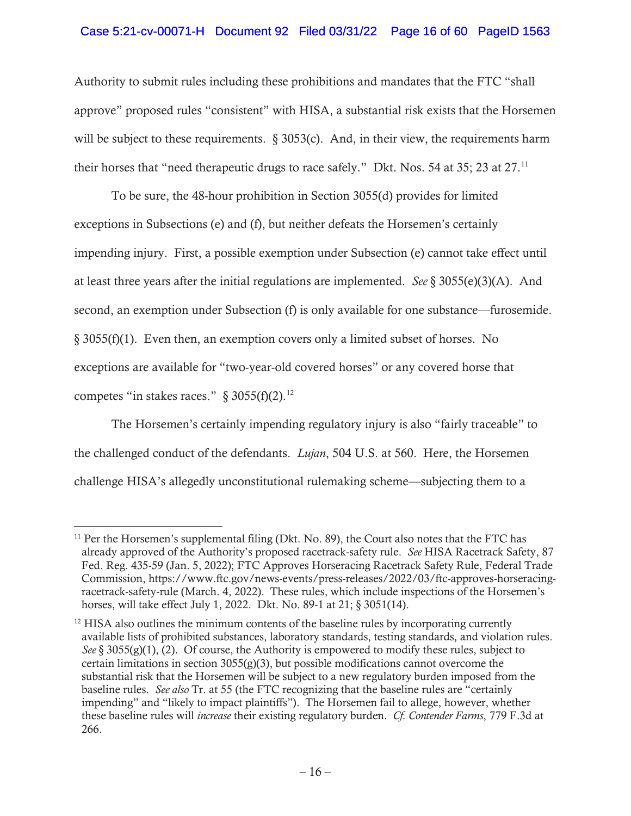# Case 5:21-cv-00071-H Document 92 Filed 03/31/22 Page 16 of 60 PageID 1563

Authority to submit rules including these prohibitions and mandates that the FTC "shall approve" proposed rules "consistent" with HISA, a substantial risk exists that the Horsemen will be subject to these requirements.  $\S 3053(c)$ . And, in their view, the requirements harm their horses that "need therapeutic drugs to race safely." Dkt. Nos. 54 at 35; 23 at 27.<sup>11</sup>

To be sure, the 48-hour prohibition in Section 3055(d) provides for limited exceptions in Subsections (e) and (f), but neither defeats the Horsemen's certainly impending injury. First, a possible exemption under Subsection (e) cannot take effect until at least three years after the initial regulations are implemented. *See* § 3055(e)(3)(A). And second, an exemption under Subsection (f) is only available for one substance—furosemide. § 3055(f)(1). Even then, an exemption covers only a limited subset of horses. No exceptions are available for "two-year-old covered horses" or any covered horse that competes "in stakes races."  $\S 3055(f)(2)$ .<sup>12</sup>

The Horsemen's certainly impending regulatory injury is also "fairly traceable" to the challenged conduct of the defendants. *Lujan*, 504 U.S. at 560. Here, the Horsemen challenge HISA's allegedly unconstitutional rulemaking scheme—subjecting them to a

 $11$  Per the Horsemen's supplemental filing (Dkt. No. 89), the Court also notes that the FTC has already approved of the Authority's proposed racetrack-safety rule. *See* HISA Racetrack Safety, 87 Fed. Reg. 435-59 (Jan. 5, 2022); FTC Approves Horseracing Racetrack Safety Rule, Federal Trade Commission, https://www.ftc.gov/news-events/press-releases/2022/03/ftc-approves-horseracingracetrack-safety-rule (March. 4, 2022). These rules, which include inspections of the Horsemen's horses, will take effect July 1, 2022. Dkt. No. 89-1 at 21; § 3051(14).

 $12$  HISA also outlines the minimum contents of the baseline rules by incorporating currently available lists of prohibited substances, laboratory standards, testing standards, and violation rules. *See* § 3055(g)(1), (2). Of course, the Authority is empowered to modify these rules, subject to certain limitations in section  $3055(g)(3)$ , but possible modifications cannot overcome the substantial risk that the Horsemen will be subject to a new regulatory burden imposed from the baseline rules. *See also* Tr. at 55 (the FTC recognizing that the baseline rules are "certainly impending" and "likely to impact plaintiffs"). The Horsemen fail to allege, however, whether these baseline rules will *increase* their existing regulatory burden. *Cf. Contender Farms*, 779 F.3d at 266.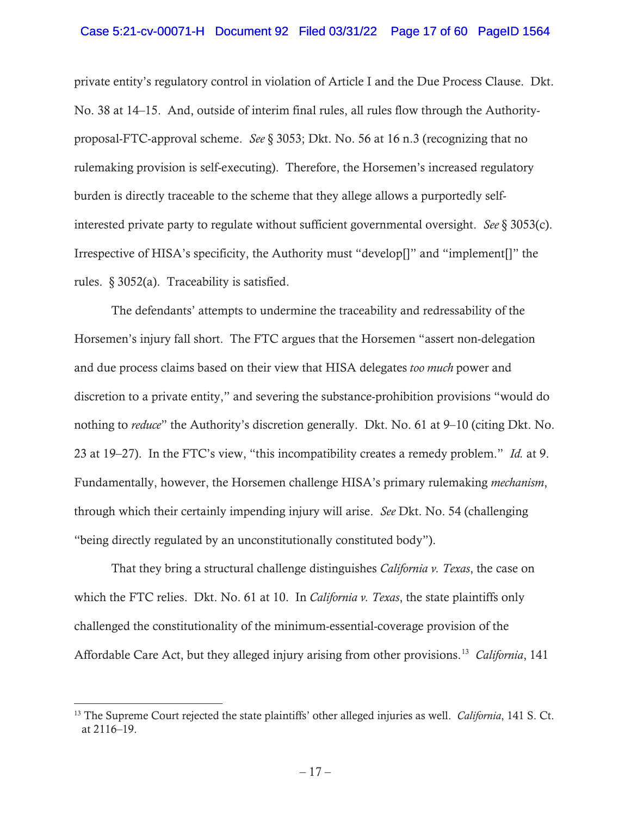### Case 5:21-cv-00071-H Document 92 Filed 03/31/22 Page 17 of 60 PageID 1564

private entity's regulatory control in violation of Article I and the Due Process Clause. Dkt. No. 38 at 14–15. And, outside of interim final rules, all rules flow through the Authorityproposal-FTC-approval scheme. *See* § 3053; Dkt. No. 56 at 16 n.3 (recognizing that no rulemaking provision is self-executing). Therefore, the Horsemen's increased regulatory burden is directly traceable to the scheme that they allege allows a purportedly selfinterested private party to regulate without sufficient governmental oversight. *See* § 3053(c). Irrespective of HISA's specificity, the Authority must "develop[]" and "implement[]" the rules. § 3052(a). Traceability is satisfied.

The defendants' attempts to undermine the traceability and redressability of the Horsemen's injury fall short. The FTC argues that the Horsemen "assert non-delegation and due process claims based on their view that HISA delegates *too much* power and discretion to a private entity," and severing the substance-prohibition provisions "would do nothing to *reduce*" the Authority's discretion generally. Dkt. No. 61 at 9–10 (citing Dkt. No. 23 at 19–27). In the FTC's view, "this incompatibility creates a remedy problem." *Id.* at 9. Fundamentally, however, the Horsemen challenge HISA's primary rulemaking *mechanism*, through which their certainly impending injury will arise. *See* Dkt. No. 54 (challenging "being directly regulated by an unconstitutionally constituted body").

That they bring a structural challenge distinguishes *California v. Texas*, the case on which the FTC relies. Dkt. No. 61 at 10. In *California v. Texas*, the state plaintiffs only challenged the constitutionality of the minimum-essential-coverage provision of the Affordable Care Act, but they alleged injury arising from other provisions.13 *California*, 141

<sup>13</sup> The Supreme Court rejected the state plaintiffs' other alleged injuries as well. *California*, 141 S. Ct. at 2116–19.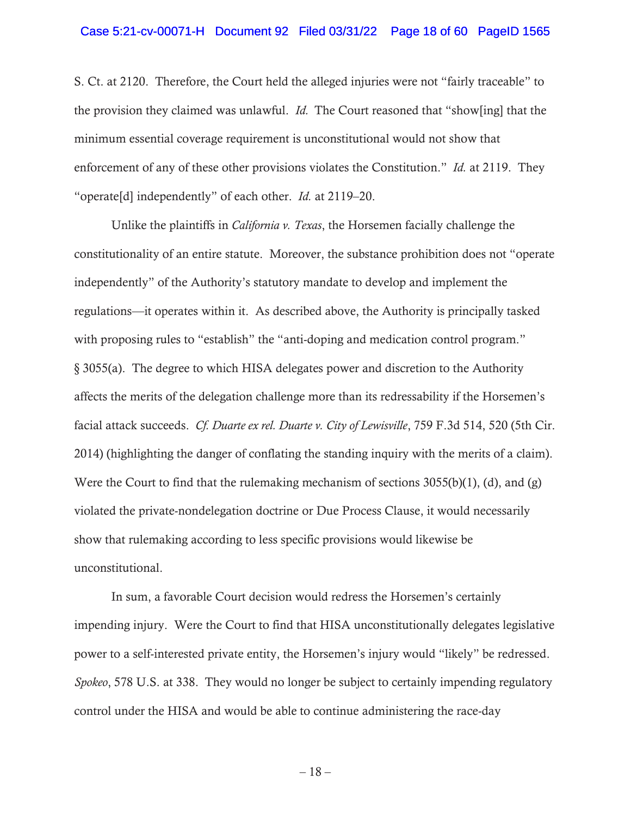### Case 5:21-cv-00071-H Document 92 Filed 03/31/22 Page 18 of 60 PageID 1565

S. Ct. at 2120. Therefore, the Court held the alleged injuries were not "fairly traceable" to the provision they claimed was unlawful. *Id.* The Court reasoned that "show[ing] that the minimum essential coverage requirement is unconstitutional would not show that enforcement of any of these other provisions violates the Constitution." *Id.* at 2119. They "operate[d] independently" of each other. *Id.* at 2119–20.

Unlike the plaintiffs in *California v. Texas*, the Horsemen facially challenge the constitutionality of an entire statute. Moreover, the substance prohibition does not "operate independently" of the Authority's statutory mandate to develop and implement the regulations—it operates within it. As described above, the Authority is principally tasked with proposing rules to "establish" the "anti-doping and medication control program." § 3055(a). The degree to which HISA delegates power and discretion to the Authority affects the merits of the delegation challenge more than its redressability if the Horsemen's facial attack succeeds. *Cf. Duarte ex rel. Duarte v. City of Lewisville*, 759 F.3d 514, 520 (5th Cir. 2014) (highlighting the danger of conflating the standing inquiry with the merits of a claim). Were the Court to find that the rulemaking mechanism of sections 3055(b)(1), (d), and (g) violated the private-nondelegation doctrine or Due Process Clause, it would necessarily show that rulemaking according to less specific provisions would likewise be unconstitutional.

In sum, a favorable Court decision would redress the Horsemen's certainly impending injury. Were the Court to find that HISA unconstitutionally delegates legislative power to a self-interested private entity, the Horsemen's injury would "likely" be redressed. *Spokeo*, 578 U.S. at 338. They would no longer be subject to certainly impending regulatory control under the HISA and would be able to continue administering the race-day

 $-18-$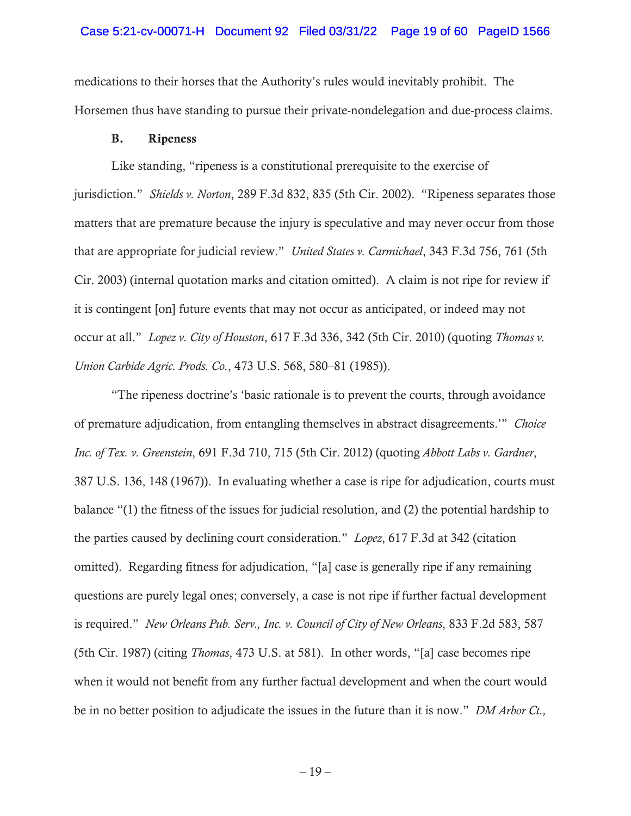### Case 5:21-cv-00071-H Document 92 Filed 03/31/22 Page 19 of 60 PageID 1566

medications to their horses that the Authority's rules would inevitably prohibit. The Horsemen thus have standing to pursue their private-nondelegation and due-process claims.

### B. Ripeness

Like standing, "ripeness is a constitutional prerequisite to the exercise of jurisdiction." *Shields v. Norton*, 289 F.3d 832, 835 (5th Cir. 2002). "Ripeness separates those matters that are premature because the injury is speculative and may never occur from those that are appropriate for judicial review." *United States v. Carmichael*, 343 F.3d 756, 761 (5th Cir. 2003) (internal quotation marks and citation omitted). A claim is not ripe for review if it is contingent [on] future events that may not occur as anticipated, or indeed may not occur at all." *Lopez v. City of Houston*, 617 F.3d 336, 342 (5th Cir. 2010) (quoting *Thomas v. Union Carbide Agric. Prods. Co.*, 473 U.S. 568, 580–81 (1985)).

"The ripeness doctrine's 'basic rationale is to prevent the courts, through avoidance of premature adjudication, from entangling themselves in abstract disagreements.'" *Choice Inc. of Tex. v. Greenstein*, 691 F.3d 710, 715 (5th Cir. 2012) (quoting *Abbott Labs v. Gardner*, 387 U.S. 136, 148 (1967)). In evaluating whether a case is ripe for adjudication, courts must balance "(1) the fitness of the issues for judicial resolution, and (2) the potential hardship to the parties caused by declining court consideration." *Lopez*, 617 F.3d at 342 (citation omitted). Regarding fitness for adjudication, "[a] case is generally ripe if any remaining questions are purely legal ones; conversely, a case is not ripe if further factual development is required." *New Orleans Pub. Serv., Inc. v. Council of City of New Orleans*, 833 F.2d 583, 587 (5th Cir. 1987) (citing *Thomas*, 473 U.S. at 581). In other words, "[a] case becomes ripe when it would not benefit from any further factual development and when the court would be in no better position to adjudicate the issues in the future than it is now." *DM Arbor Ct.,*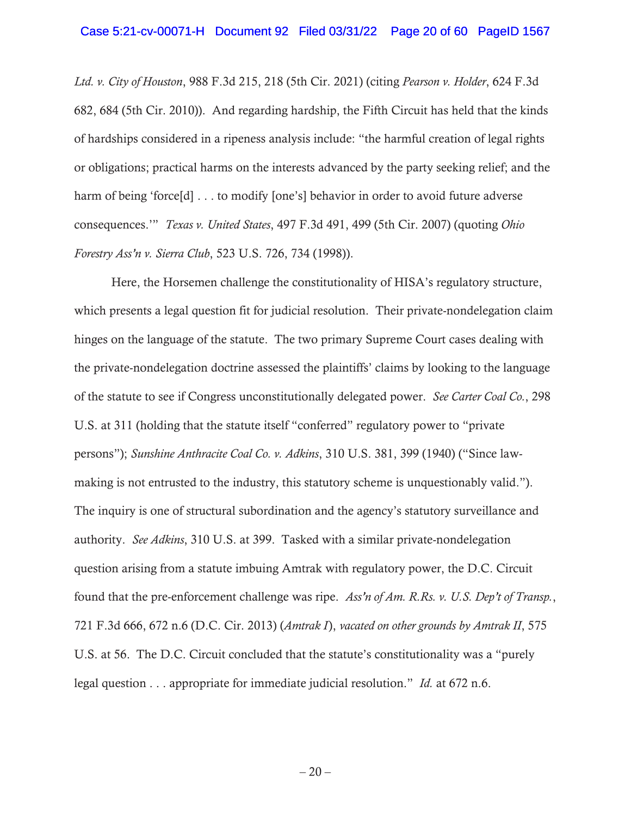*Ltd. v. City of Houston*, 988 F.3d 215, 218 (5th Cir. 2021) (citing *Pearson v. Holder*, 624 F.3d 682, 684 (5th Cir. 2010)). And regarding hardship, the Fifth Circuit has held that the kinds of hardships considered in a ripeness analysis include: "the harmful creation of legal rights or obligations; practical harms on the interests advanced by the party seeking relief; and the harm of being 'force[d] . . . to modify [one's] behavior in order to avoid future adverse consequences.'" *Texas v. United States*, 497 F.3d 491, 499 (5th Cir. 2007) (quoting *Ohio Forestry Ass'n v. Sierra Club*, 523 U.S. 726, 734 (1998)).

Here, the Horsemen challenge the constitutionality of HISA's regulatory structure, which presents a legal question fit for judicial resolution. Their private-nondelegation claim hinges on the language of the statute. The two primary Supreme Court cases dealing with the private-nondelegation doctrine assessed the plaintiffs' claims by looking to the language of the statute to see if Congress unconstitutionally delegated power. *See Carter Coal Co.*, 298 U.S. at 311 (holding that the statute itself "conferred" regulatory power to "private persons"); *Sunshine Anthracite Coal Co. v. Adkins*, 310 U.S. 381, 399 (1940) ("Since lawmaking is not entrusted to the industry, this statutory scheme is unquestionably valid."). The inquiry is one of structural subordination and the agency's statutory surveillance and authority. *See Adkins*, 310 U.S. at 399. Tasked with a similar private-nondelegation question arising from a statute imbuing Amtrak with regulatory power, the D.C. Circuit found that the pre-enforcement challenge was ripe. *Ass'n of Am. R.Rs. v. U.S. Dep't of Transp.*, 721 F.3d 666, 672 n.6 (D.C. Cir. 2013) (*Amtrak I*), *vacated on other grounds by Amtrak II*, 575 U.S. at 56. The D.C. Circuit concluded that the statute's constitutionality was a "purely legal question . . . appropriate for immediate judicial resolution." *Id.* at 672 n.6.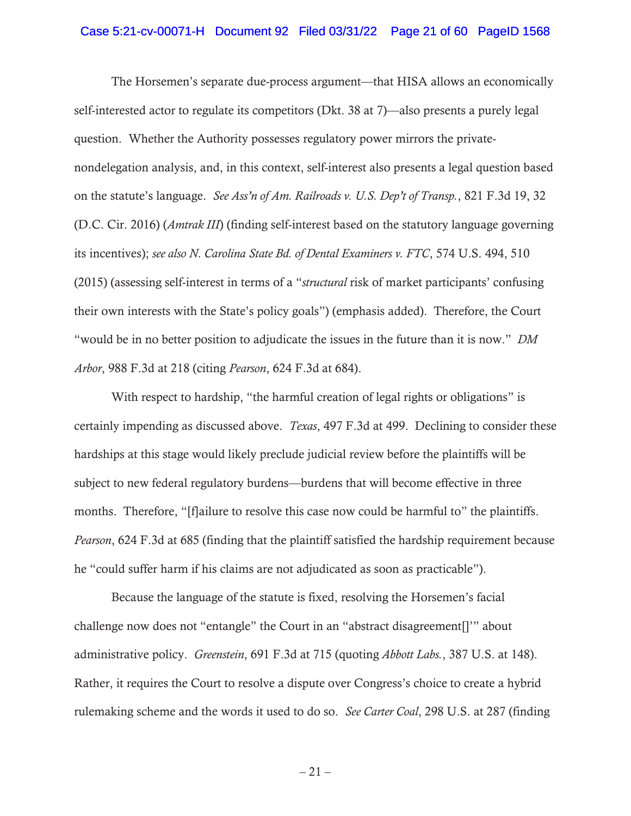### Case 5:21-cv-00071-H Document 92 Filed 03/31/22 Page 21 of 60 PageID 1568

The Horsemen's separate due-process argument—that HISA allows an economically self-interested actor to regulate its competitors (Dkt. 38 at 7)—also presents a purely legal question. Whether the Authority possesses regulatory power mirrors the privatenondelegation analysis, and, in this context, self-interest also presents a legal question based on the statute's language. *See Ass'n of Am. Railroads v. U.S. Dep't of Transp.*, 821 F.3d 19, 32 (D.C. Cir. 2016) (*Amtrak III*) (finding self-interest based on the statutory language governing its incentives); *see also N. Carolina State Bd. of Dental Examiners v. FTC*, 574 U.S. 494, 510 (2015) (assessing self-interest in terms of a "*structural* risk of market participants' confusing their own interests with the State's policy goals") (emphasis added). Therefore, the Court "would be in no better position to adjudicate the issues in the future than it is now." *DM Arbor*, 988 F.3d at 218 (citing *Pearson*, 624 F.3d at 684).

With respect to hardship, "the harmful creation of legal rights or obligations" is certainly impending as discussed above. *Texas*, 497 F.3d at 499. Declining to consider these hardships at this stage would likely preclude judicial review before the plaintiffs will be subject to new federal regulatory burdens—burdens that will become effective in three months. Therefore, "[f]ailure to resolve this case now could be harmful to" the plaintiffs. *Pearson*, 624 F.3d at 685 (finding that the plaintiff satisfied the hardship requirement because he "could suffer harm if his claims are not adjudicated as soon as practicable").

Because the language of the statute is fixed, resolving the Horsemen's facial challenge now does not "entangle" the Court in an "abstract disagreement[]'" about administrative policy. *Greenstein*, 691 F.3d at 715 (quoting *Abbott Labs.*, 387 U.S. at 148). Rather, it requires the Court to resolve a dispute over Congress's choice to create a hybrid rulemaking scheme and the words it used to do so. *See Carter Coal*, 298 U.S. at 287 (finding

 $-21-$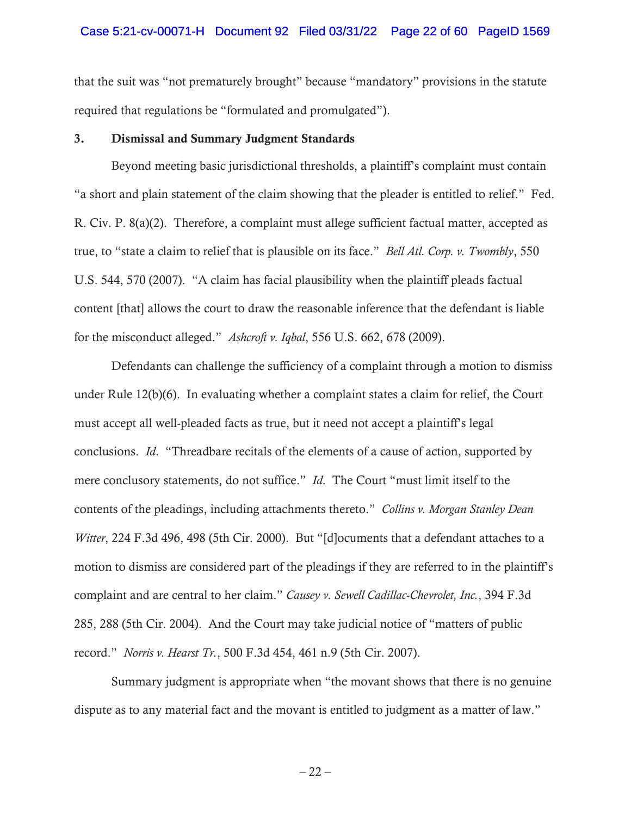### Case 5:21-cv-00071-H Document 92 Filed 03/31/22 Page 22 of 60 PageID 1569

that the suit was "not prematurely brought" because "mandatory" provisions in the statute required that regulations be "formulated and promulgated").

### 3. Dismissal and Summary Judgment Standards

Beyond meeting basic jurisdictional thresholds, a plaintiff's complaint must contain "a short and plain statement of the claim showing that the pleader is entitled to relief." Fed. R. Civ. P. 8(a)(2). Therefore, a complaint must allege sufficient factual matter, accepted as true, to "state a claim to relief that is plausible on its face." *Bell Atl. Corp. v. Twombly*, 550 U.S. 544, 570 (2007). "A claim has facial plausibility when the plaintiff pleads factual content [that] allows the court to draw the reasonable inference that the defendant is liable for the misconduct alleged." *Ashcroft v. Iqbal*, 556 U.S. 662, 678 (2009).

Defendants can challenge the sufficiency of a complaint through a motion to dismiss under Rule 12(b)(6). In evaluating whether a complaint states a claim for relief, the Court must accept all well-pleaded facts as true, but it need not accept a plaintiff's legal conclusions. *Id*. "Threadbare recitals of the elements of a cause of action, supported by mere conclusory statements, do not suffice." *Id*. The Court "must limit itself to the contents of the pleadings, including attachments thereto." *Collins v. Morgan Stanley Dean Witter*, 224 F.3d 496, 498 (5th Cir. 2000). But "[d]ocuments that a defendant attaches to a motion to dismiss are considered part of the pleadings if they are referred to in the plaintiff's complaint and are central to her claim." *Causey v. Sewell Cadillac-Chevrolet, Inc.*, 394 F.3d 285, 288 (5th Cir. 2004). And the Court may take judicial notice of "matters of public record." *Norris v. Hearst Tr.*, 500 F.3d 454, 461 n.9 (5th Cir. 2007).

Summary judgment is appropriate when "the movant shows that there is no genuine dispute as to any material fact and the movant is entitled to judgment as a matter of law."

 $-22-$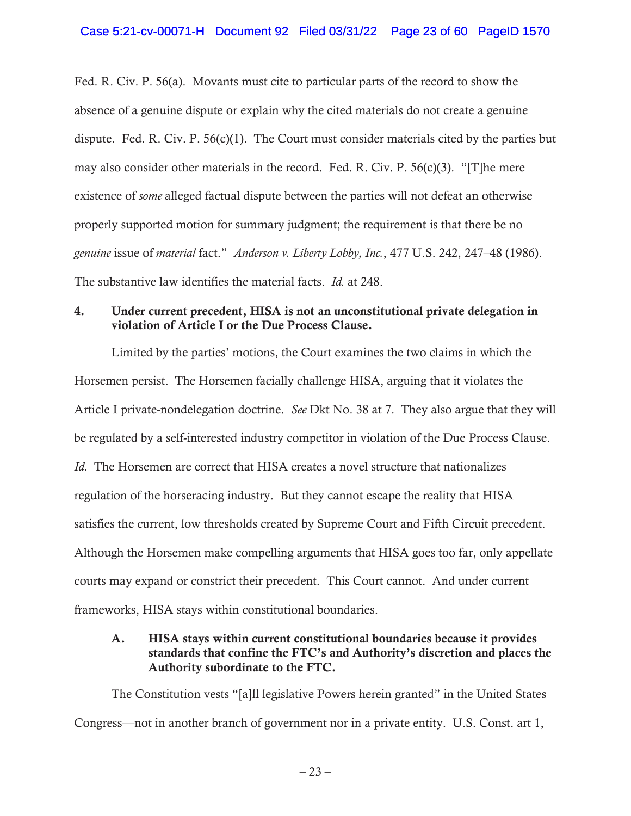Fed. R. Civ. P. 56(a). Movants must cite to particular parts of the record to show the absence of a genuine dispute or explain why the cited materials do not create a genuine dispute. Fed. R. Civ. P. 56(c)(1). The Court must consider materials cited by the parties but may also consider other materials in the record. Fed. R. Civ. P. 56(c)(3). "[T]he mere existence of *some* alleged factual dispute between the parties will not defeat an otherwise properly supported motion for summary judgment; the requirement is that there be no *genuine* issue of *material* fact." *Anderson v. Liberty Lobby, Inc.*, 477 U.S. 242, 247–48 (1986). The substantive law identifies the material facts. *Id.* at 248.

# 4. Under current precedent, HISA is not an unconstitutional private delegation in violation of Article I or the Due Process Clause.

Limited by the parties' motions, the Court examines the two claims in which the Horsemen persist. The Horsemen facially challenge HISA, arguing that it violates the Article I private-nondelegation doctrine. *See* Dkt No. 38 at 7. They also argue that they will be regulated by a self-interested industry competitor in violation of the Due Process Clause. *Id.* The Horsemen are correct that HISA creates a novel structure that nationalizes regulation of the horseracing industry. But they cannot escape the reality that HISA satisfies the current, low thresholds created by Supreme Court and Fifth Circuit precedent. Although the Horsemen make compelling arguments that HISA goes too far, only appellate courts may expand or constrict their precedent. This Court cannot. And under current frameworks, HISA stays within constitutional boundaries.

# A. HISA stays within current constitutional boundaries because it provides standards that confine the FTC's and Authority's discretion and places the Authority subordinate to the FTC.

The Constitution vests "[a]ll legislative Powers herein granted" in the United States Congress—not in another branch of government nor in a private entity. U.S. Const. art 1,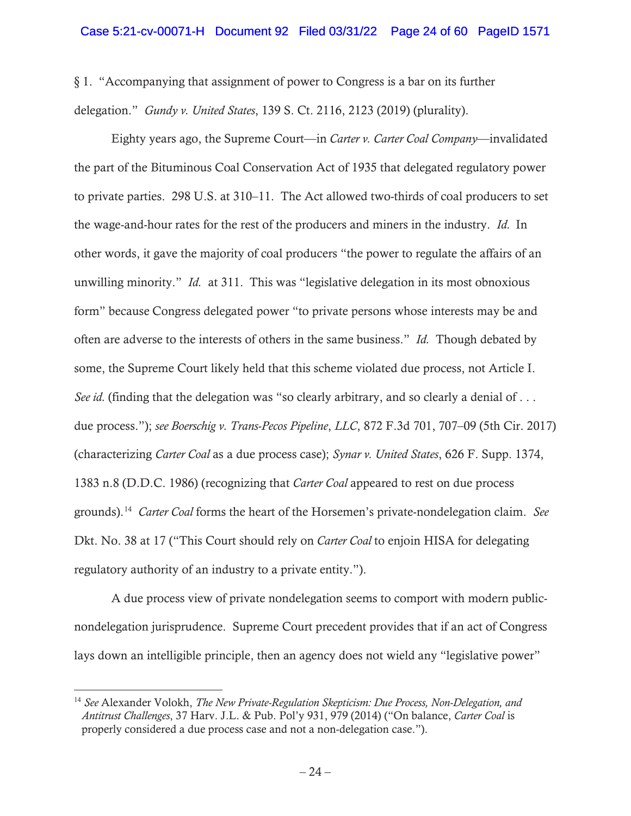§ 1. "Accompanying that assignment of power to Congress is a bar on its further delegation." *Gundy v. United States*, 139 S. Ct. 2116, 2123 (2019) (plurality).

Eighty years ago, the Supreme Court—in *Carter v. Carter Coal Company*—invalidated the part of the Bituminous Coal Conservation Act of 1935 that delegated regulatory power to private parties. 298 U.S. at 310–11. The Act allowed two-thirds of coal producers to set the wage-and-hour rates for the rest of the producers and miners in the industry. *Id.* In other words, it gave the majority of coal producers "the power to regulate the affairs of an unwilling minority." *Id.* at 311. This was "legislative delegation in its most obnoxious form" because Congress delegated power "to private persons whose interests may be and often are adverse to the interests of others in the same business." *Id.* Though debated by some, the Supreme Court likely held that this scheme violated due process, not Article I. See id. (finding that the delegation was "so clearly arbitrary, and so clearly a denial of . . . due process."); *see Boerschig v. Trans-Pecos Pipeline*, *LLC*, 872 F.3d 701, 707–09 (5th Cir. 2017) (characterizing *Carter Coal* as a due process case); *Synar v. United States*, 626 F. Supp. 1374, 1383 n.8 (D.D.C. 1986) (recognizing that *Carter Coal* appeared to rest on due process grounds).14 *Carter Coal* forms the heart of the Horsemen's private-nondelegation claim. *See*  Dkt. No. 38 at 17 ("This Court should rely on *Carter Coal* to enjoin HISA for delegating regulatory authority of an industry to a private entity.").

A due process view of private nondelegation seems to comport with modern publicnondelegation jurisprudence. Supreme Court precedent provides that if an act of Congress lays down an intelligible principle, then an agency does not wield any "legislative power"

<sup>14</sup> *See* Alexander Volokh, *The New Private-Regulation Skepticism: Due Process, Non-Delegation, and Antitrust Challenges*, 37 Harv. J.L. & Pub. Pol'y 931, 979 (2014) ("On balance, *Carter Coal* is properly considered a due process case and not a non-delegation case.").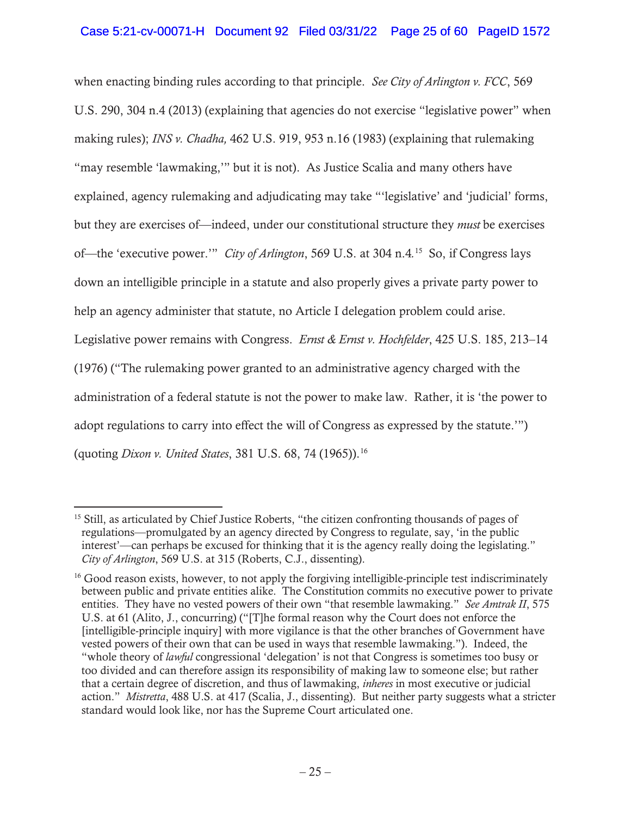when enacting binding rules according to that principle. *See City of Arlington v. FCC*, 569 U.S. 290, 304 n.4 (2013) (explaining that agencies do not exercise "legislative power" when making rules); *INS v. Chadha,* 462 U.S. 919, 953 n.16 (1983) (explaining that rulemaking "may resemble 'lawmaking,'" but it is not). As Justice Scalia and many others have explained, agency rulemaking and adjudicating may take "'legislative' and 'judicial' forms, but they are exercises of—indeed, under our constitutional structure they *must* be exercises of—the 'executive power.'" *City of Arlington*, 569 U.S. at 304 n.4*.* 15 So, if Congress lays down an intelligible principle in a statute and also properly gives a private party power to help an agency administer that statute, no Article I delegation problem could arise. Legislative power remains with Congress. *Ernst & Ernst v. Hochfelder*, 425 U.S. 185, 213–14 (1976) ("The rulemaking power granted to an administrative agency charged with the administration of a federal statute is not the power to make law. Rather, it is 'the power to adopt regulations to carry into effect the will of Congress as expressed by the statute.'") (quoting *Dixon v. United States*, 381 U.S. 68, 74 (1965)).16

<sup>15</sup> Still, as articulated by Chief Justice Roberts, "the citizen confronting thousands of pages of regulations—promulgated by an agency directed by Congress to regulate, say, 'in the public interest'—can perhaps be excused for thinking that it is the agency really doing the legislating." *City of Arlington*, 569 U.S. at 315 (Roberts, C.J., dissenting).

<sup>&</sup>lt;sup>16</sup> Good reason exists, however, to not apply the forgiving intelligible-principle test indiscriminately between public and private entities alike. The Constitution commits no executive power to private entities. They have no vested powers of their own "that resemble lawmaking." *See Amtrak II*, 575 U.S. at 61 (Alito, J., concurring) ("[T]he formal reason why the Court does not enforce the [intelligible-principle inquiry] with more vigilance is that the other branches of Government have vested powers of their own that can be used in ways that resemble lawmaking.").Indeed, the "whole theory of *lawful* congressional 'delegation' is not that Congress is sometimes too busy or too divided and can therefore assign its responsibility of making law to someone else; but rather that a certain degree of discretion, and thus of lawmaking, *inheres* in most executive or judicial action." *Mistretta*, 488 U.S. at 417 (Scalia, J., dissenting). But neither party suggests what a stricter standard would look like, nor has the Supreme Court articulated one.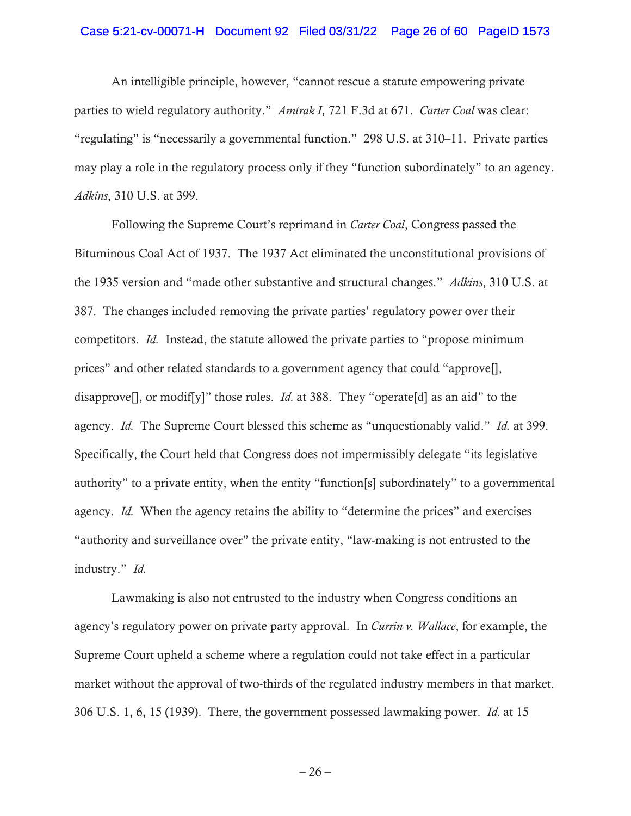### Case 5:21-cv-00071-H Document 92 Filed 03/31/22 Page 26 of 60 PageID 1573

An intelligible principle, however, "cannot rescue a statute empowering private parties to wield regulatory authority." *Amtrak I*, 721 F.3d at 671. *Carter Coal* was clear: "regulating" is "necessarily a governmental function." 298 U.S. at 310–11. Private parties may play a role in the regulatory process only if they "function subordinately" to an agency. *Adkins*, 310 U.S. at 399.

Following the Supreme Court's reprimand in *Carter Coal*, Congress passed the Bituminous Coal Act of 1937. The 1937 Act eliminated the unconstitutional provisions of the 1935 version and "made other substantive and structural changes." *Adkins*, 310 U.S. at 387. The changes included removing the private parties' regulatory power over their competitors. *Id.* Instead, the statute allowed the private parties to "propose minimum prices" and other related standards to a government agency that could "approve[], disapprovell, or modifly<sup>n</sup> those rules. *Id.* at 388. They "operate [d] as an aid" to the agency. *Id.* The Supreme Court blessed this scheme as "unquestionably valid." *Id.* at 399. Specifically, the Court held that Congress does not impermissibly delegate "its legislative authority" to a private entity, when the entity "function[s] subordinately" to a governmental agency. *Id.* When the agency retains the ability to "determine the prices" and exercises "authority and surveillance over" the private entity, "law-making is not entrusted to the industry." *Id.* 

Lawmaking is also not entrusted to the industry when Congress conditions an agency's regulatory power on private party approval. In *Currin v. Wallace*, for example, the Supreme Court upheld a scheme where a regulation could not take effect in a particular market without the approval of two-thirds of the regulated industry members in that market. 306 U.S. 1, 6, 15 (1939). There, the government possessed lawmaking power. *Id.* at 15

 $-26-$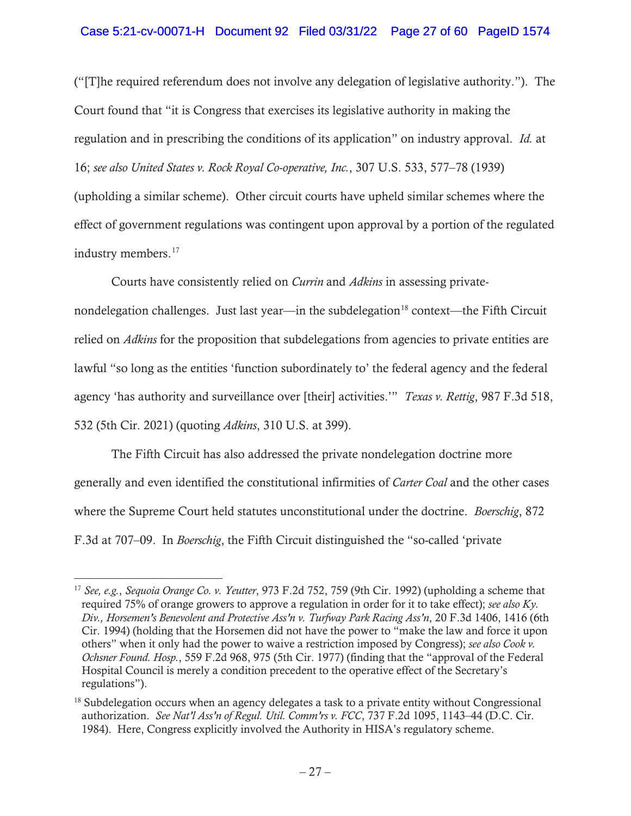## Case 5:21-cv-00071-H Document 92 Filed 03/31/22 Page 27 of 60 PageID 1574

("[T]he required referendum does not involve any delegation of legislative authority."). The Court found that "it is Congress that exercises its legislative authority in making the regulation and in prescribing the conditions of its application" on industry approval. *Id.* at 16; *see also United States v. Rock Royal Co-operative, Inc.*, 307 U.S. 533, 577–78 (1939) (upholding a similar scheme). Other circuit courts have upheld similar schemes where the effect of government regulations was contingent upon approval by a portion of the regulated industry members.<sup>17</sup>

Courts have consistently relied on *Currin* and *Adkins* in assessing private-

nondelegation challenges. Just last year—in the subdelegation<sup>18</sup> context—the Fifth Circuit relied on *Adkins* for the proposition that subdelegations from agencies to private entities are lawful "so long as the entities 'function subordinately to' the federal agency and the federal agency 'has authority and surveillance over [their] activities.'" *Texas v. Rettig*, 987 F.3d 518, 532 (5th Cir. 2021) (quoting *Adkins*, 310 U.S. at 399).

The Fifth Circuit has also addressed the private nondelegation doctrine more generally and even identified the constitutional infirmities of *Carter Coal* and the other cases where the Supreme Court held statutes unconstitutional under the doctrine. *Boerschig*, 872 F.3d at 707–09. In *Boerschig*, the Fifth Circuit distinguished the "so-called 'private

<sup>17</sup> *See, e.g.*, *Sequoia Orange Co. v. Yeutter*, 973 F.2d 752, 759 (9th Cir. 1992) (upholding a scheme that required 75% of orange growers to approve a regulation in order for it to take effect); *see also Ky. Div., Horsemen's Benevolent and Protective Ass'n v. Turfway Park Racing Ass'n*, 20 F.3d 1406, 1416 (6th Cir. 1994) (holding that the Horsemen did not have the power to "make the law and force it upon others" when it only had the power to waive a restriction imposed by Congress); *see also Cook v. Ochsner Found. Hosp.*, 559 F.2d 968, 975 (5th Cir. 1977) (finding that the "approval of the Federal Hospital Council is merely a condition precedent to the operative effect of the Secretary's regulations").

<sup>&</sup>lt;sup>18</sup> Subdelegation occurs when an agency delegates a task to a private entity without Congressional authorization. *See Nat'l Ass'n of Regul. Util. Comm'rs v. FCC*, 737 F.2d 1095, 1143–44 (D.C. Cir. 1984). Here, Congress explicitly involved the Authority in HISA's regulatory scheme.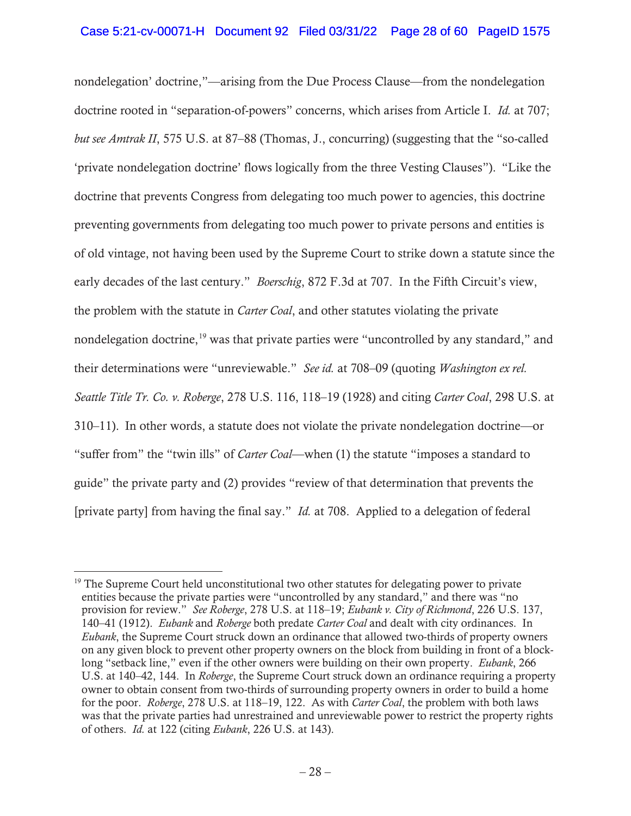# Case 5:21-cv-00071-H Document 92 Filed 03/31/22 Page 28 of 60 PageID 1575

nondelegation' doctrine,"—arising from the Due Process Clause—from the nondelegation doctrine rooted in "separation-of-powers" concerns, which arises from Article I. *Id.* at 707; *but see Amtrak II*, 575 U.S. at 87–88 (Thomas, J., concurring) (suggesting that the "so-called 'private nondelegation doctrine' flows logically from the three Vesting Clauses")."Like the doctrine that prevents Congress from delegating too much power to agencies, this doctrine preventing governments from delegating too much power to private persons and entities is of old vintage, not having been used by the Supreme Court to strike down a statute since the early decades of the last century." *Boerschig*, 872 F.3d at 707. In the Fifth Circuit's view, the problem with the statute in *Carter Coal*, and other statutes violating the private nondelegation doctrine,<sup>19</sup> was that private parties were "uncontrolled by any standard," and their determinations were "unreviewable." *See id.* at 708–09 (quoting *Washington ex rel. Seattle Title Tr. Co. v. Roberge*, 278 U.S. 116, 118–19 (1928) and citing *Carter Coal*, 298 U.S. at 310–11).In other words, a statute does not violate the private nondelegation doctrine—or "suffer from" the "twin ills" of *Carter Coal*—when (1) the statute "imposes a standard to guide" the private party and (2) provides "review of that determination that prevents the [private party] from having the final say." *Id.* at 708. Applied to a delegation of federal

 $19$  The Supreme Court held unconstitutional two other statutes for delegating power to private entities because the private parties were "uncontrolled by any standard," and there was "no provision for review." *See Roberge*, 278 U.S. at 118–19; *Eubank v. City of Richmond*, 226 U.S. 137, 140–41 (1912). *Eubank* and *Roberge* both predate *Carter Coal* and dealt with city ordinances. In *Eubank*, the Supreme Court struck down an ordinance that allowed two-thirds of property owners on any given block to prevent other property owners on the block from building in front of a blocklong "setback line," even if the other owners were building on their own property. *Eubank*, 266 U.S. at 140–42, 144. In *Roberge*, the Supreme Court struck down an ordinance requiring a property owner to obtain consent from two-thirds of surrounding property owners in order to build a home for the poor. *Roberge*, 278 U.S. at 118–19, 122. As with *Carter Coal*, the problem with both laws was that the private parties had unrestrained and unreviewable power to restrict the property rights of others. *Id.* at 122 (citing *Eubank*, 226 U.S. at 143).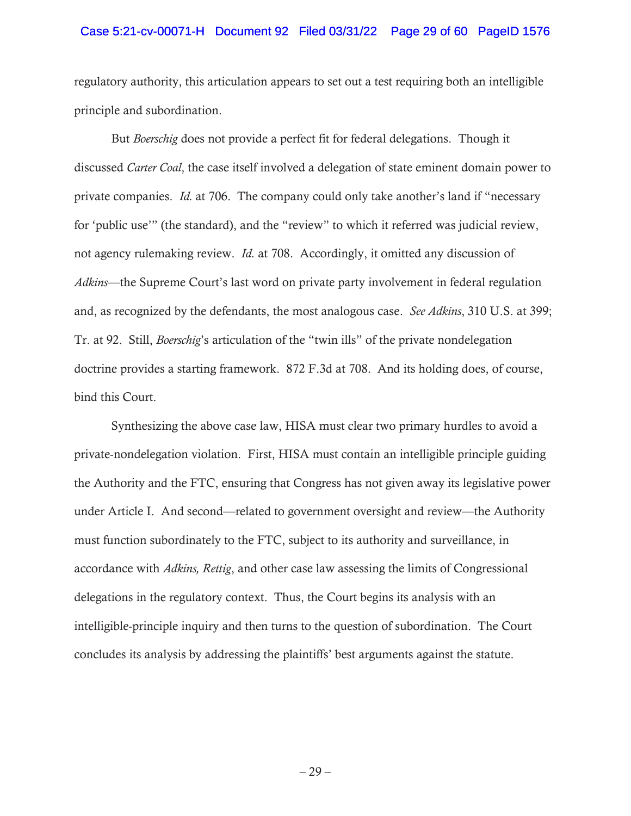### Case 5:21-cv-00071-H Document 92 Filed 03/31/22 Page 29 of 60 PageID 1576

regulatory authority, this articulation appears to set out a test requiring both an intelligible principle and subordination.

But *Boerschig* does not provide a perfect fit for federal delegations. Though it discussed *Carter Coal*, the case itself involved a delegation of state eminent domain power to private companies. *Id.* at 706. The company could only take another's land if "necessary for 'public use'" (the standard), and the "review" to which it referred was judicial review, not agency rulemaking review. *Id.* at 708. Accordingly, it omitted any discussion of *Adkins*—the Supreme Court's last word on private party involvement in federal regulation and, as recognized by the defendants, the most analogous case. *See Adkins*, 310 U.S. at 399; Tr. at 92. Still, *Boerschig*'s articulation of the "twin ills" of the private nondelegation doctrine provides a starting framework. 872 F.3d at 708. And its holding does, of course, bind this Court.

Synthesizing the above case law, HISA must clear two primary hurdles to avoid a private-nondelegation violation. First, HISA must contain an intelligible principle guiding the Authority and the FTC, ensuring that Congress has not given away its legislative power under Article I. And second—related to government oversight and review—the Authority must function subordinately to the FTC, subject to its authority and surveillance, in accordance with *Adkins, Rettig*, and other case law assessing the limits of Congressional delegations in the regulatory context. Thus, the Court begins its analysis with an intelligible-principle inquiry and then turns to the question of subordination. The Court concludes its analysis by addressing the plaintiffs' best arguments against the statute.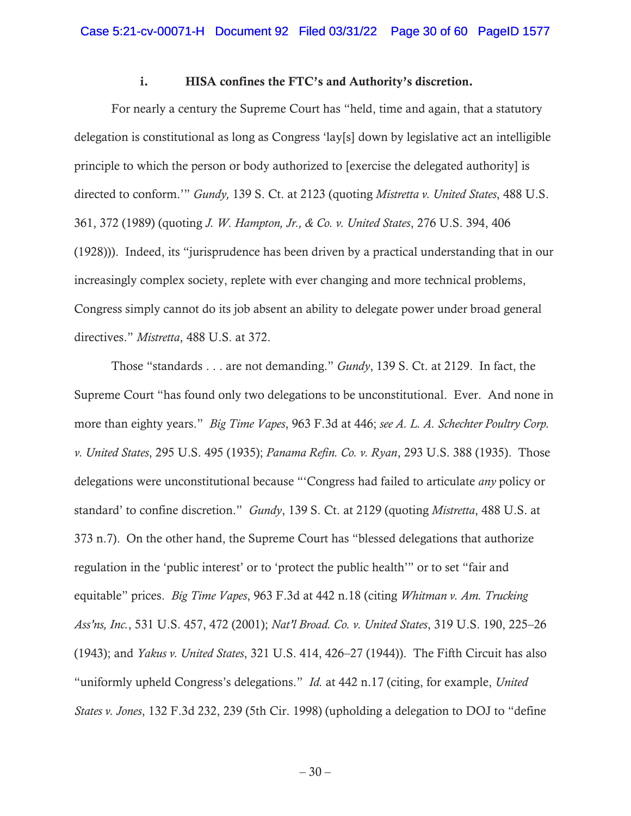### i. HISA confines the FTC's and Authority's discretion.

For nearly a century the Supreme Court has "held, time and again, that a statutory delegation is constitutional as long as Congress 'lay[s] down by legislative act an intelligible principle to which the person or body authorized to [exercise the delegated authority] is directed to conform.'" *Gundy,* 139 S. Ct. at 2123 (quoting *Mistretta v. United States*, 488 U.S. 361, 372 (1989) (quoting *J. W. Hampton, Jr., & Co. v. United States*, 276 U.S. 394, 406 (1928))). Indeed, its "jurisprudence has been driven by a practical understanding that in our increasingly complex society, replete with ever changing and more technical problems, Congress simply cannot do its job absent an ability to delegate power under broad general directives." *Mistretta*, 488 U.S. at 372.

Those "standards . . . are not demanding." *Gundy*, 139 S. Ct. at 2129. In fact, the Supreme Court "has found only two delegations to be unconstitutional. Ever. And none in more than eighty years." *Big Time Vapes*, 963 F.3d at 446; *see A. L. A. Schechter Poultry Corp. v. United States*, 295 U.S. 495 (1935); *Panama Refin. Co. v. Ryan*, 293 U.S. 388 (1935). Those delegations were unconstitutional because "'Congress had failed to articulate *any* policy or standard' to confine discretion." *Gundy*, 139 S. Ct. at 2129 (quoting *Mistretta*, 488 U.S. at 373 n.7). On the other hand, the Supreme Court has "blessed delegations that authorize regulation in the 'public interest' or to 'protect the public health'" or to set "fair and equitable" prices. *Big Time Vapes*, 963 F.3d at 442 n.18 (citing *Whitman v. Am. Trucking Ass'ns, Inc.*, 531 U.S. 457, 472 (2001); *Nat'l Broad. Co. v. United States*, 319 U.S. 190, 225–26 (1943); and *Yakus v. United States*, 321 U.S. 414, 426–27 (1944)). The Fifth Circuit has also "uniformly upheld Congress's delegations." *Id.* at 442 n.17 (citing, for example, *United States v. Jones*, 132 F.3d 232, 239 (5th Cir. 1998) (upholding a delegation to DOJ to "define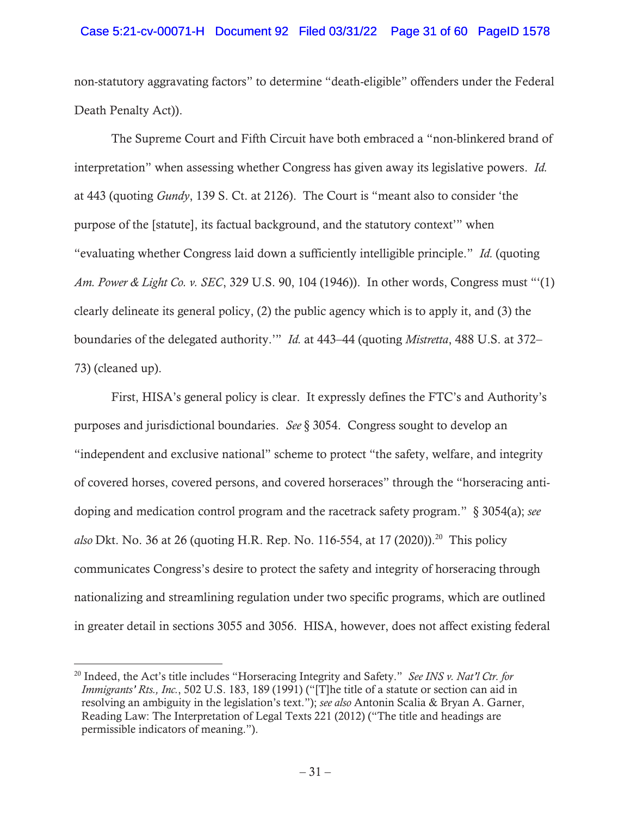## Case 5:21-cv-00071-H Document 92 Filed 03/31/22 Page 31 of 60 PageID 1578

non-statutory aggravating factors" to determine "death-eligible" offenders under the Federal Death Penalty Act)).

The Supreme Court and Fifth Circuit have both embraced a "non-blinkered brand of interpretation" when assessing whether Congress has given away its legislative powers. *Id.*  at 443 (quoting *Gundy*, 139 S. Ct. at 2126). The Court is "meant also to consider 'the purpose of the [statute], its factual background, and the statutory context'" when "evaluating whether Congress laid down a sufficiently intelligible principle." *Id.* (quoting *Am. Power & Light Co. v. SEC*, 329 U.S. 90, 104 (1946)). In other words, Congress must "'(1) clearly delineate its general policy, (2) the public agency which is to apply it, and (3) the boundaries of the delegated authority.'" *Id.* at 443–44 (quoting *Mistretta*, 488 U.S. at 372– 73) (cleaned up).

First, HISA's general policy is clear. It expressly defines the FTC's and Authority's purposes and jurisdictional boundaries. *See* § 3054. Congress sought to develop an "independent and exclusive national" scheme to protect "the safety, welfare, and integrity of covered horses, covered persons, and covered horseraces" through the "horseracing antidoping and medication control program and the racetrack safety program." § 3054(a); *see also* Dkt. No. 36 at 26 (quoting H.R. Rep. No. 116-554, at 17 (2020)).<sup>20</sup> This policy communicates Congress's desire to protect the safety and integrity of horseracing through nationalizing and streamlining regulation under two specific programs, which are outlined in greater detail in sections 3055 and 3056. HISA, however, does not affect existing federal

<sup>20</sup> Indeed, the Act's title includes "Horseracing Integrity and Safety." *See INS v. Nat'l Ctr. for Immigrants' Rts., Inc.*, 502 U.S. 183, 189 (1991) ("[T]he title of a statute or section can aid in resolving an ambiguity in the legislation's text."); *see also* Antonin Scalia & Bryan A. Garner, Reading Law: The Interpretation of Legal Texts 221 (2012) ("The title and headings are permissible indicators of meaning.").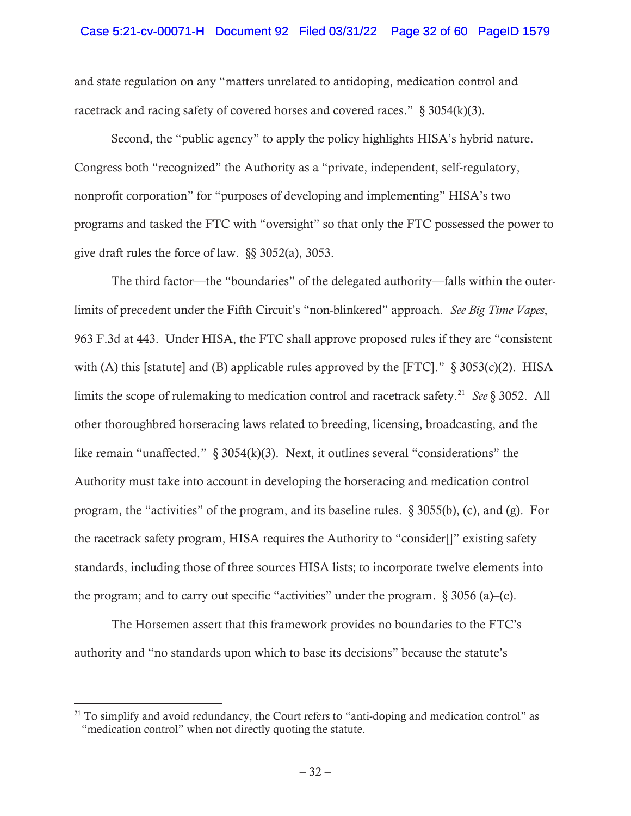### Case 5:21-cv-00071-H Document 92 Filed 03/31/22 Page 32 of 60 PageID 1579

and state regulation on any "matters unrelated to antidoping, medication control and racetrack and racing safety of covered horses and covered races." § 3054(k)(3).

Second, the "public agency" to apply the policy highlights HISA's hybrid nature. Congress both "recognized" the Authority as a "private, independent, self-regulatory, nonprofit corporation" for "purposes of developing and implementing" HISA's two programs and tasked the FTC with "oversight" so that only the FTC possessed the power to give draft rules the force of law. §§ 3052(a), 3053.

The third factor—the "boundaries" of the delegated authority—falls within the outerlimits of precedent under the Fifth Circuit's "non-blinkered" approach. *See Big Time Vapes*, 963 F.3d at 443. Under HISA, the FTC shall approve proposed rules if they are "consistent with (A) this [statute] and (B) applicable rules approved by the [FTC]."  $\S$  3053(c)(2). HISA limits the scope of rulemaking to medication control and racetrack safety.21 *See* § 3052. All other thoroughbred horseracing laws related to breeding, licensing, broadcasting, and the like remain "unaffected." § 3054(k)(3). Next, it outlines several "considerations" the Authority must take into account in developing the horseracing and medication control program, the "activities" of the program, and its baseline rules. § 3055(b), (c), and (g). For the racetrack safety program, HISA requires the Authority to "consider[]" existing safety standards, including those of three sources HISA lists; to incorporate twelve elements into the program; and to carry out specific "activities" under the program.  $\S 3056$  (a)–(c).

The Horsemen assert that this framework provides no boundaries to the FTC's authority and "no standards upon which to base its decisions" because the statute's

<sup>&</sup>lt;sup>21</sup> To simplify and avoid redundancy, the Court refers to "anti-doping and medication control" as "medication control" when not directly quoting the statute.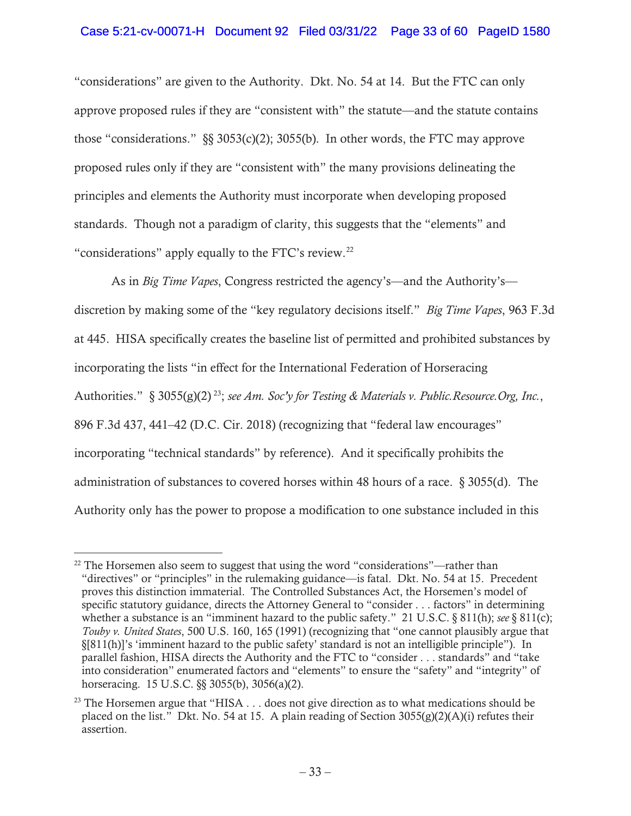# Case 5:21-cv-00071-H Document 92 Filed 03/31/22 Page 33 of 60 PageID 1580

"considerations" are given to the Authority. Dkt. No. 54 at 14. But the FTC can only approve proposed rules if they are "consistent with" the statute—and the statute contains those "considerations."  $\S$ § 3053(c)(2); 3055(b). In other words, the FTC may approve proposed rules only if they are "consistent with" the many provisions delineating the principles and elements the Authority must incorporate when developing proposed standards. Though not a paradigm of clarity, this suggests that the "elements" and "considerations" apply equally to the FTC's review.<sup>22</sup>

As in *Big Time Vapes*, Congress restricted the agency's—and the Authority's discretion by making some of the "key regulatory decisions itself." *Big Time Vapes*, 963 F.3d at 445. HISA specifically creates the baseline list of permitted and prohibited substances by incorporating the lists "in effect for the International Federation of Horseracing Authorities." § 3055(g)(2) 23; *see Am. Soc'y for Testing & Materials v. Public.Resource.Org, Inc.*, 896 F.3d 437, 441–42 (D.C. Cir. 2018) (recognizing that "federal law encourages" incorporating "technical standards" by reference). And it specifically prohibits the administration of substances to covered horses within 48 hours of a race. § 3055(d). The Authority only has the power to propose a modification to one substance included in this

 $22$  The Horsemen also seem to suggest that using the word "considerations"—rather than "directives" or "principles" in the rulemaking guidance—is fatal. Dkt. No. 54 at 15. Precedent proves this distinction immaterial. The Controlled Substances Act, the Horsemen's model of specific statutory guidance, directs the Attorney General to "consider . . . factors" in determining whether a substance is an "imminent hazard to the public safety." 21 U.S.C. § 811(h); *see* § 811(c); *Touby v. United States*, 500 U.S. 160, 165 (1991) (recognizing that "one cannot plausibly argue that §[811(h)]'s 'imminent hazard to the public safety' standard is not an intelligible principle"). In parallel fashion, HISA directs the Authority and the FTC to "consider . . . standards" and "take into consideration" enumerated factors and "elements" to ensure the "safety" and "integrity" of horseracing. 15 U.S.C. §§ 3055(b), 3056(a)(2).

<sup>&</sup>lt;sup>23</sup> The Horsemen argue that "HISA  $\dots$  does not give direction as to what medications should be placed on the list." Dkt. No. 54 at 15. A plain reading of Section  $3055(g)(2)(A)(i)$  refutes their assertion.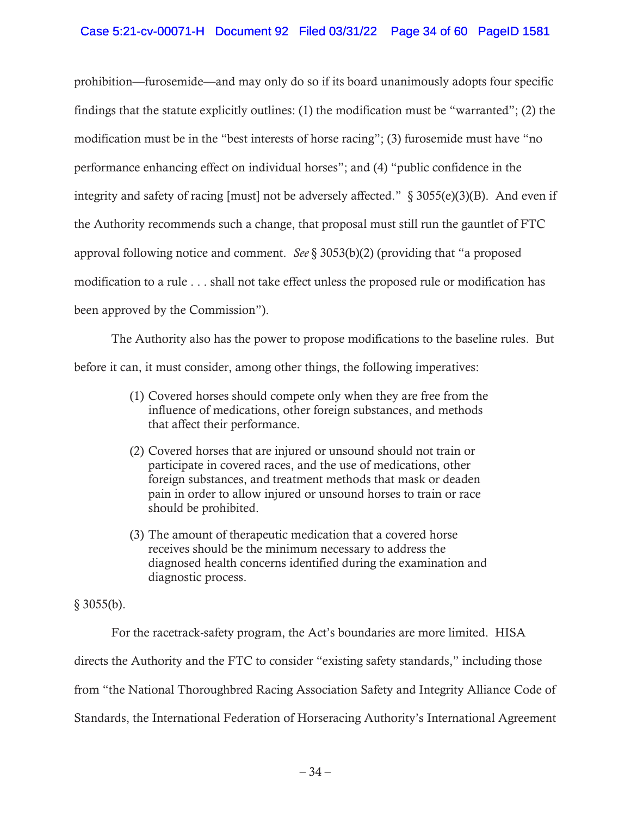# Case 5:21-cv-00071-H Document 92 Filed 03/31/22 Page 34 of 60 PageID 1581

prohibition—furosemide—and may only do so if its board unanimously adopts four specific findings that the statute explicitly outlines: (1) the modification must be "warranted"; (2) the modification must be in the "best interests of horse racing"; (3) furosemide must have "no performance enhancing effect on individual horses"; and (4) "public confidence in the integrity and safety of racing [must] not be adversely affected."  $\S$  3055(e)(3)(B). And even if the Authority recommends such a change, that proposal must still run the gauntlet of FTC approval following notice and comment. *See* § 3053(b)(2) (providing that "a proposed modification to a rule . . . shall not take effect unless the proposed rule or modification has been approved by the Commission").

The Authority also has the power to propose modifications to the baseline rules. But before it can, it must consider, among other things, the following imperatives:

- (1) Covered horses should compete only when they are free from the influence of medications, other foreign substances, and methods that affect their performance.
- (2) Covered horses that are injured or unsound should not train or participate in covered races, and the use of medications, other foreign substances, and treatment methods that mask or deaden pain in order to allow injured or unsound horses to train or race should be prohibited.
- (3) The amount of therapeutic medication that a covered horse receives should be the minimum necessary to address the diagnosed health concerns identified during the examination and diagnostic process.

 $§$  3055(b).

For the racetrack-safety program, the Act's boundaries are more limited. HISA

directs the Authority and the FTC to consider "existing safety standards," including those

from "the National Thoroughbred Racing Association Safety and Integrity Alliance Code of

Standards, the International Federation of Horseracing Authority's International Agreement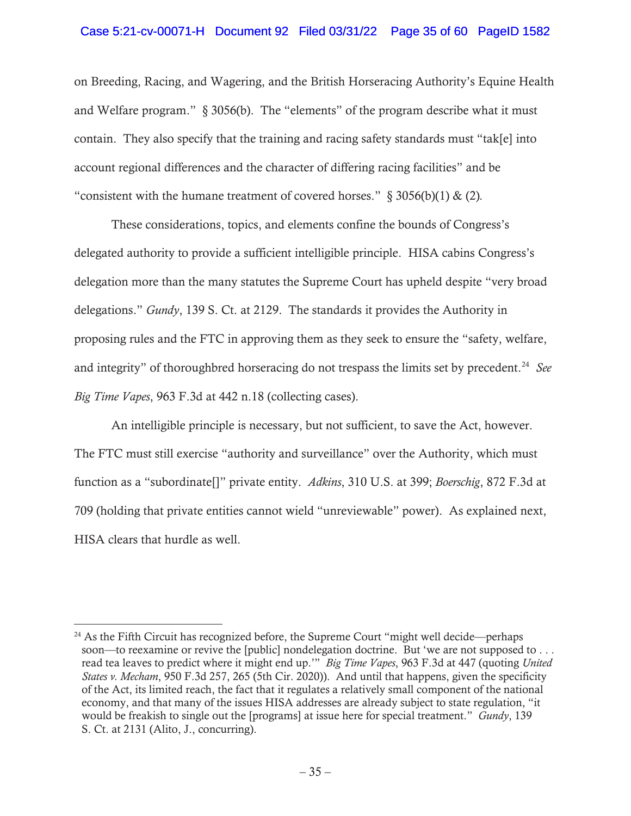## Case 5:21-cv-00071-H Document 92 Filed 03/31/22 Page 35 of 60 PageID 1582

on Breeding, Racing, and Wagering, and the British Horseracing Authority's Equine Health and Welfare program." § 3056(b). The "elements" of the program describe what it must contain. They also specify that the training and racing safety standards must "tak[e] into account regional differences and the character of differing racing facilities" and be "consistent with the humane treatment of covered horses." § 3056(b)(1) & (2)*.*

These considerations, topics, and elements confine the bounds of Congress's delegated authority to provide a sufficient intelligible principle. HISA cabins Congress's delegation more than the many statutes the Supreme Court has upheld despite "very broad delegations." *Gundy*, 139 S. Ct. at 2129. The standards it provides the Authority in proposing rules and the FTC in approving them as they seek to ensure the "safety, welfare, and integrity" of thoroughbred horseracing do not trespass the limits set by precedent.<sup>24</sup> See *Big Time Vapes*, 963 F.3d at 442 n.18 (collecting cases).

An intelligible principle is necessary, but not sufficient, to save the Act, however. The FTC must still exercise "authority and surveillance" over the Authority, which must function as a "subordinate[]" private entity. *Adkins*, 310 U.S. at 399; *Boerschig*, 872 F.3d at 709 (holding that private entities cannot wield "unreviewable" power). As explained next, HISA clears that hurdle as well.

 $24$  As the Fifth Circuit has recognized before, the Supreme Court "might well decide—perhaps" soon—to reexamine or revive the [public] nondelegation doctrine. But 'we are not supposed to . . . read tea leaves to predict where it might end up.'" *Big Time Vapes*, 963 F.3d at 447 (quoting *United States v. Mecham*, 950 F.3d 257, 265 (5th Cir. 2020)). And until that happens, given the specificity of the Act, its limited reach, the fact that it regulates a relatively small component of the national economy, and that many of the issues HISA addresses are already subject to state regulation, "it would be freakish to single out the [programs] at issue here for special treatment." *Gundy*, 139 S. Ct. at 2131 (Alito, J., concurring).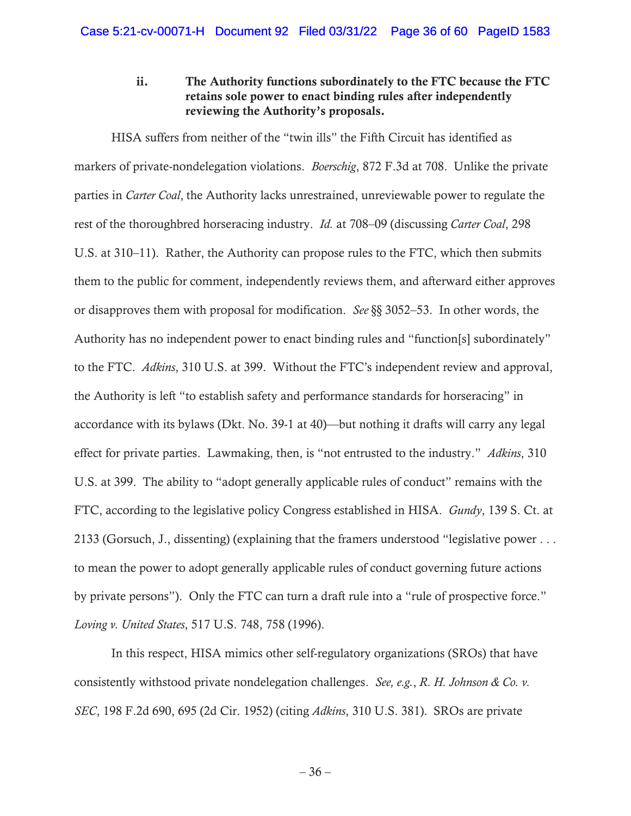# ii. The Authority functions subordinately to the FTC because the FTC retains sole power to enact binding rules after independently reviewing the Authority's proposals.

HISA suffers from neither of the "twin ills" the Fifth Circuit has identified as markers of private-nondelegation violations. *Boerschig*, 872 F.3d at 708. Unlike the private parties in *Carter Coal*, the Authority lacks unrestrained, unreviewable power to regulate the rest of the thoroughbred horseracing industry. *Id.* at 708–09 (discussing *Carter Coal*, 298 U.S. at 310–11). Rather, the Authority can propose rules to the FTC, which then submits them to the public for comment, independently reviews them, and afterward either approves or disapproves them with proposal for modification. *See* §§ 3052–53. In other words, the Authority has no independent power to enact binding rules and "function[s] subordinately" to the FTC. *Adkins*, 310 U.S. at 399. Without the FTC's independent review and approval, the Authority is left "to establish safety and performance standards for horseracing" in accordance with its bylaws (Dkt. No. 39-1 at 40)—but nothing it drafts will carry any legal effect for private parties. Lawmaking, then, is "not entrusted to the industry." *Adkins*, 310 U.S. at 399. The ability to "adopt generally applicable rules of conduct" remains with the FTC, according to the legislative policy Congress established in HISA. *Gundy*, 139 S. Ct. at 2133 (Gorsuch, J., dissenting) (explaining that the framers understood "legislative power . . . to mean the power to adopt generally applicable rules of conduct governing future actions by private persons"). Only the FTC can turn a draft rule into a "rule of prospective force." *Loving v. United States*, 517 U.S. 748, 758 (1996).

In this respect, HISA mimics other self-regulatory organizations (SROs) that have consistently withstood private nondelegation challenges. *See, e.g.*, *R. H. Johnson & Co. v. SEC*, 198 F.2d 690, 695 (2d Cir. 1952) (citing *Adkins*, 310 U.S. 381). SROs are private

 $-36-$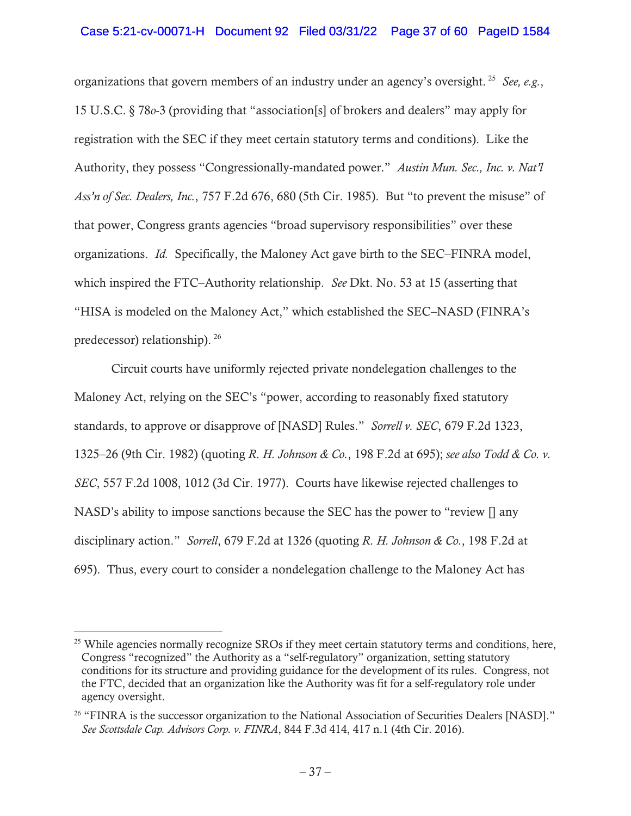## Case 5:21-cv-00071-H Document 92 Filed 03/31/22 Page 37 of 60 PageID 1584

organizations that govern members of an industry under an agency's oversight. 25 *See, e.g.*, 15 U.S.C. § 78*o*-3 (providing that "association[s] of brokers and dealers" may apply for registration with the SEC if they meet certain statutory terms and conditions). Like the Authority, they possess "Congressionally-mandated power." *Austin Mun. Sec., Inc. v. Nat'l Ass'n of Sec. Dealers, Inc.*, 757 F.2d 676, 680 (5th Cir. 1985). But "to prevent the misuse" of that power, Congress grants agencies "broad supervisory responsibilities" over these organizations. *Id.* Specifically, the Maloney Act gave birth to the SEC–FINRA model, which inspired the FTC–Authority relationship. *See* Dkt. No. 53 at 15 (asserting that "HISA is modeled on the Maloney Act," which established the SEC–NASD (FINRA's predecessor) relationship). 26

Circuit courts have uniformly rejected private nondelegation challenges to the Maloney Act, relying on the SEC's "power, according to reasonably fixed statutory standards, to approve or disapprove of [NASD] Rules." *Sorrell v. SEC*, 679 F.2d 1323, 1325–26 (9th Cir. 1982) (quoting *R. H. Johnson & Co.*, 198 F.2d at 695); *see also Todd & Co. v. SEC*, 557 F.2d 1008, 1012 (3d Cir. 1977). Courts have likewise rejected challenges to NASD's ability to impose sanctions because the SEC has the power to "review [] any disciplinary action." *Sorrell*, 679 F.2d at 1326 (quoting *R. H. Johnson & Co.*, 198 F.2d at 695). Thus, every court to consider a nondelegation challenge to the Maloney Act has

<sup>&</sup>lt;sup>25</sup> While agencies normally recognize SROs if they meet certain statutory terms and conditions, here, Congress "recognized" the Authority as a "self-regulatory" organization, setting statutory conditions for its structure and providing guidance for the development of its rules. Congress, not the FTC, decided that an organization like the Authority was fit for a self-regulatory role under agency oversight.

<sup>&</sup>lt;sup>26</sup> "FINRA is the successor organization to the National Association of Securities Dealers [NASD]." *See Scottsdale Cap. Advisors Corp. v. FINRA*, 844 F.3d 414, 417 n.1 (4th Cir. 2016).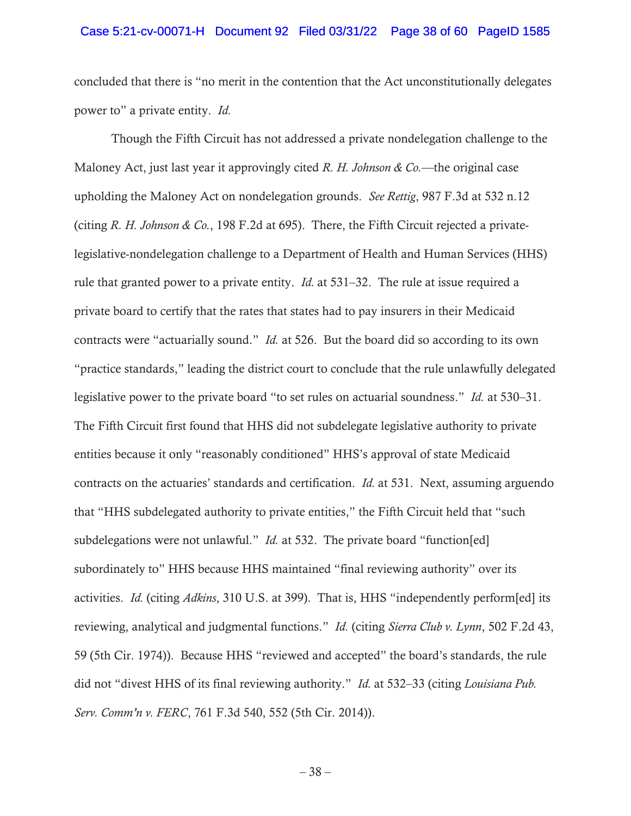### Case 5:21-cv-00071-H Document 92 Filed 03/31/22 Page 38 of 60 PageID 1585

concluded that there is "no merit in the contention that the Act unconstitutionally delegates power to" a private entity. *Id.*

Though the Fifth Circuit has not addressed a private nondelegation challenge to the Maloney Act, just last year it approvingly cited *R. H. Johnson & Co.*—the original case upholding the Maloney Act on nondelegation grounds. *See Rettig*, 987 F.3d at 532 n.12 (citing *R. H. Johnson & Co.*, 198 F.2d at 695). There, the Fifth Circuit rejected a privatelegislative-nondelegation challenge to a Department of Health and Human Services (HHS) rule that granted power to a private entity. *Id.* at 531–32. The rule at issue required a private board to certify that the rates that states had to pay insurers in their Medicaid contracts were "actuarially sound." *Id.* at 526. But the board did so according to its own "practice standards," leading the district court to conclude that the rule unlawfully delegated legislative power to the private board "to set rules on actuarial soundness." *Id.* at 530–31. The Fifth Circuit first found that HHS did not subdelegate legislative authority to private entities because it only "reasonably conditioned" HHS's approval of state Medicaid contracts on the actuaries' standards and certification. *Id.* at 531. Next, assuming arguendo that "HHS subdelegated authority to private entities," the Fifth Circuit held that "such subdelegations were not unlawful." *Id.* at 532. The private board "function[ed] subordinately to" HHS because HHS maintained "final reviewing authority" over its activities. *Id.* (citing *Adkins*, 310 U.S. at 399). That is, HHS "independently perform[ed] its reviewing, analytical and judgmental functions." *Id.* (citing *Sierra Club v. Lynn*, 502 F.2d 43, 59 (5th Cir. 1974)). Because HHS "reviewed and accepted" the board's standards, the rule did not "divest HHS of its final reviewing authority." *Id.* at 532–33 (citing *Louisiana Pub. Serv. Comm'n v. FERC*, 761 F.3d 540, 552 (5th Cir. 2014)).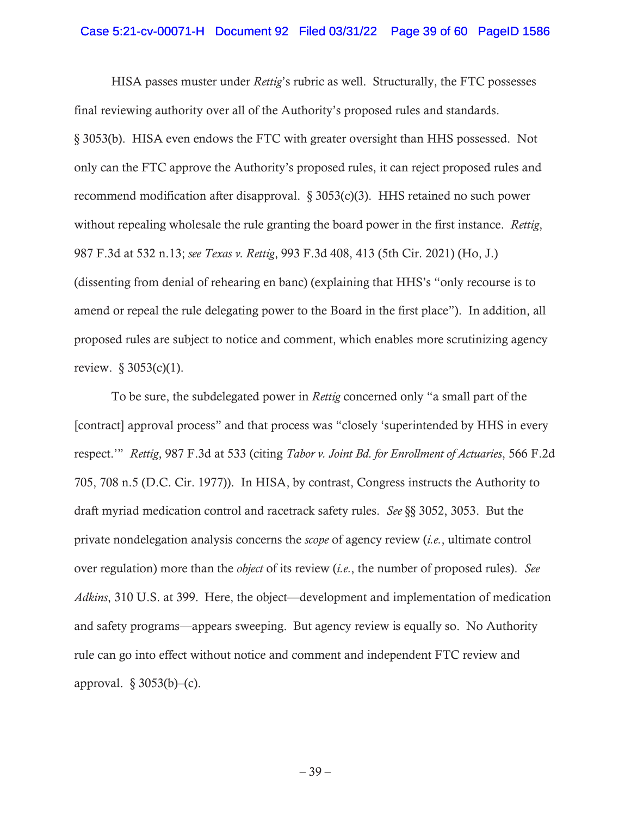### Case 5:21-cv-00071-H Document 92 Filed 03/31/22 Page 39 of 60 PageID 1586

HISA passes muster under *Rettig*'s rubric as well. Structurally, the FTC possesses final reviewing authority over all of the Authority's proposed rules and standards. § 3053(b). HISA even endows the FTC with greater oversight than HHS possessed. Not only can the FTC approve the Authority's proposed rules, it can reject proposed rules and recommend modification after disapproval. § 3053(c)(3). HHS retained no such power without repealing wholesale the rule granting the board power in the first instance. *Rettig*, 987 F.3d at 532 n.13; *see Texas v. Rettig*, 993 F.3d 408, 413 (5th Cir. 2021) (Ho, J.) (dissenting from denial of rehearing en banc) (explaining that HHS's "only recourse is to amend or repeal the rule delegating power to the Board in the first place"). In addition, all proposed rules are subject to notice and comment, which enables more scrutinizing agency review. § 3053(c)(1).

To be sure, the subdelegated power in *Rettig* concerned only "a small part of the [contract] approval process" and that process was "closely 'superintended by HHS in every respect.'" *Rettig*, 987 F.3d at 533 (citing *Tabor v. Joint Bd. for Enrollment of Actuaries*, 566 F.2d 705, 708 n.5 (D.C. Cir. 1977)). In HISA, by contrast, Congress instructs the Authority to draft myriad medication control and racetrack safety rules. *See* §§ 3052, 3053. But the private nondelegation analysis concerns the *scope* of agency review (*i.e.*, ultimate control over regulation) more than the *object* of its review (*i.e.*, the number of proposed rules). *See Adkins*, 310 U.S. at 399. Here, the object—development and implementation of medication and safety programs—appears sweeping. But agency review is equally so. No Authority rule can go into effect without notice and comment and independent FTC review and approval.  $\S 3053(b)$ –(c).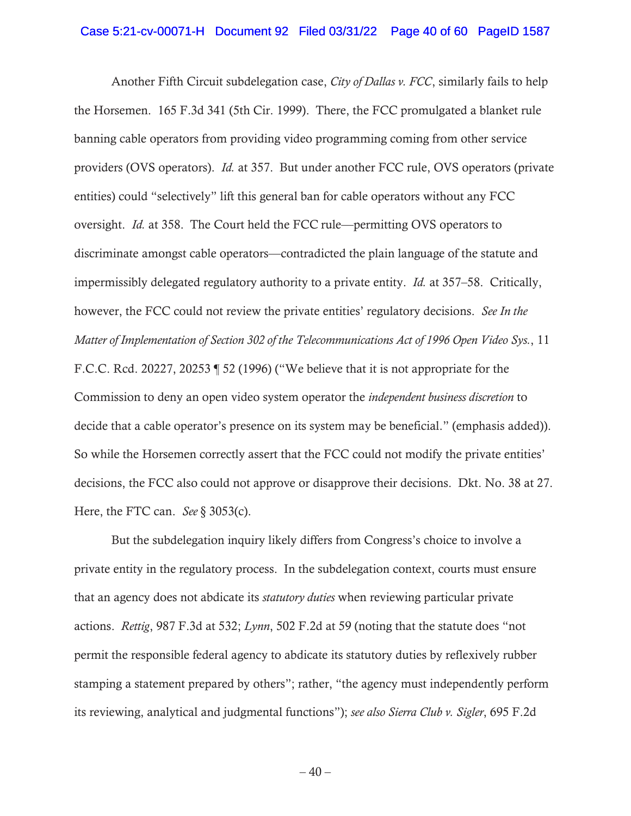### Case 5:21-cv-00071-H Document 92 Filed 03/31/22 Page 40 of 60 PageID 1587

Another Fifth Circuit subdelegation case, *City of Dallas v. FCC*, similarly fails to help the Horsemen. 165 F.3d 341 (5th Cir. 1999). There, the FCC promulgated a blanket rule banning cable operators from providing video programming coming from other service providers (OVS operators). *Id.* at 357. But under another FCC rule, OVS operators (private entities) could "selectively" lift this general ban for cable operators without any FCC oversight. *Id.* at 358. The Court held the FCC rule—permitting OVS operators to discriminate amongst cable operators—contradicted the plain language of the statute and impermissibly delegated regulatory authority to a private entity. *Id.* at 357–58. Critically, however, the FCC could not review the private entities' regulatory decisions. *See In the Matter of Implementation of Section 302 of the Telecommunications Act of 1996 Open Video Sys.*, 11 F.C.C. Rcd. 20227, 20253 ¶ 52 (1996) ("We believe that it is not appropriate for the Commission to deny an open video system operator the *independent business discretion* to decide that a cable operator's presence on its system may be beneficial." (emphasis added)). So while the Horsemen correctly assert that the FCC could not modify the private entities' decisions, the FCC also could not approve or disapprove their decisions. Dkt. No. 38 at 27. Here, the FTC can. *See* § 3053(c).

But the subdelegation inquiry likely differs from Congress's choice to involve a private entity in the regulatory process. In the subdelegation context, courts must ensure that an agency does not abdicate its *statutory duties* when reviewing particular private actions. *Rettig*, 987 F.3d at 532; *Lynn*, 502 F.2d at 59 (noting that the statute does "not permit the responsible federal agency to abdicate its statutory duties by reflexively rubber stamping a statement prepared by others"; rather, "the agency must independently perform its reviewing, analytical and judgmental functions"); *see also Sierra Club v. Sigler*, 695 F.2d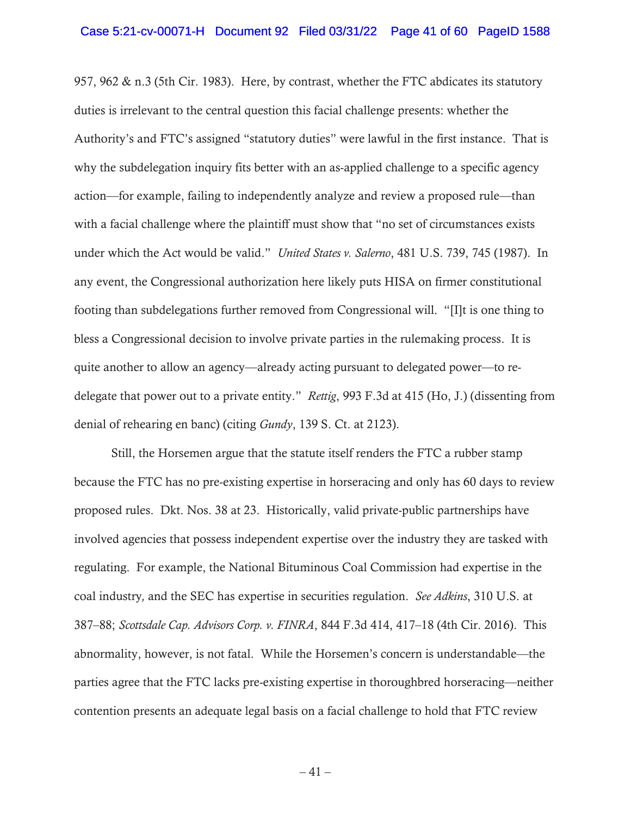957, 962  $\&$  n.3 (5th Cir. 1983). Here, by contrast, whether the FTC abdicates its statutory duties is irrelevant to the central question this facial challenge presents: whether the Authority's and FTC's assigned "statutory duties" were lawful in the first instance. That is why the subdelegation inquiry fits better with an as-applied challenge to a specific agency action—for example, failing to independently analyze and review a proposed rule—than with a facial challenge where the plaintiff must show that "no set of circumstances exists under which the Act would be valid." *United States v. Salerno*, 481 U.S. 739, 745 (1987). In any event, the Congressional authorization here likely puts HISA on firmer constitutional footing than subdelegations further removed from Congressional will. "[I]t is one thing to bless a Congressional decision to involve private parties in the rulemaking process. It is quite another to allow an agency—already acting pursuant to delegated power—to redelegate that power out to a private entity." *Rettig*, 993 F.3d at 415 (Ho, J.) (dissenting from denial of rehearing en banc) (citing *Gundy*, 139 S. Ct. at 2123).

Still, the Horsemen argue that the statute itself renders the FTC a rubber stamp because the FTC has no pre-existing expertise in horseracing and only has 60 days to review proposed rules. Dkt. Nos. 38 at 23. Historically, valid private-public partnerships have involved agencies that possess independent expertise over the industry they are tasked with regulating. For example, the National Bituminous Coal Commission had expertise in the coal industry*,* and the SEC has expertise in securities regulation. *See Adkins*, 310 U.S. at 387–88; *Scottsdale Cap. Advisors Corp. v. FINRA*, 844 F.3d 414, 417–18 (4th Cir. 2016). This abnormality, however, is not fatal. While the Horsemen's concern is understandable—the parties agree that the FTC lacks pre-existing expertise in thoroughbred horseracing—neither contention presents an adequate legal basis on a facial challenge to hold that FTC review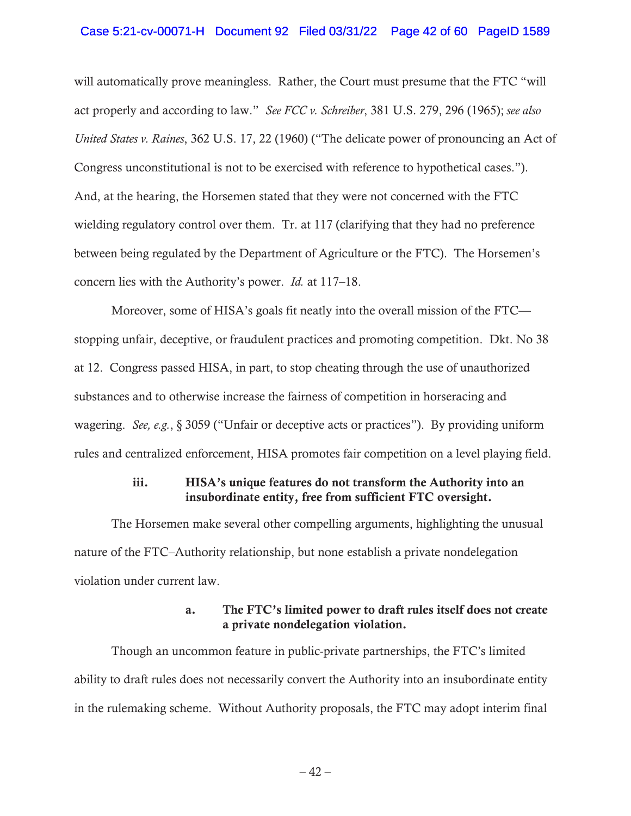### Case 5:21-cv-00071-H Document 92 Filed 03/31/22 Page 42 of 60 PageID 1589

will automatically prove meaningless. Rather, the Court must presume that the FTC "will act properly and according to law." *See FCC v. Schreiber*, 381 U.S. 279, 296 (1965); *see also United States v. Raines*, 362 U.S. 17, 22 (1960) ("The delicate power of pronouncing an Act of Congress unconstitutional is not to be exercised with reference to hypothetical cases."). And, at the hearing, the Horsemen stated that they were not concerned with the FTC wielding regulatory control over them. Tr. at 117 (clarifying that they had no preference between being regulated by the Department of Agriculture or the FTC). The Horsemen's concern lies with the Authority's power. *Id.* at 117–18.

Moreover, some of HISA's goals fit neatly into the overall mission of the FTC stopping unfair, deceptive, or fraudulent practices and promoting competition. Dkt. No 38 at 12. Congress passed HISA, in part, to stop cheating through the use of unauthorized substances and to otherwise increase the fairness of competition in horseracing and wagering. *See, e.g.*, § 3059 ("Unfair or deceptive acts or practices"). By providing uniform rules and centralized enforcement, HISA promotes fair competition on a level playing field.

## iii. HISA's unique features do not transform the Authority into an insubordinate entity, free from sufficient FTC oversight.

The Horsemen make several other compelling arguments, highlighting the unusual nature of the FTC–Authority relationship, but none establish a private nondelegation violation under current law.

# a. The FTC's limited power to draft rules itself does not create a private nondelegation violation.

Though an uncommon feature in public-private partnerships, the FTC's limited ability to draft rules does not necessarily convert the Authority into an insubordinate entity in the rulemaking scheme. Without Authority proposals, the FTC may adopt interim final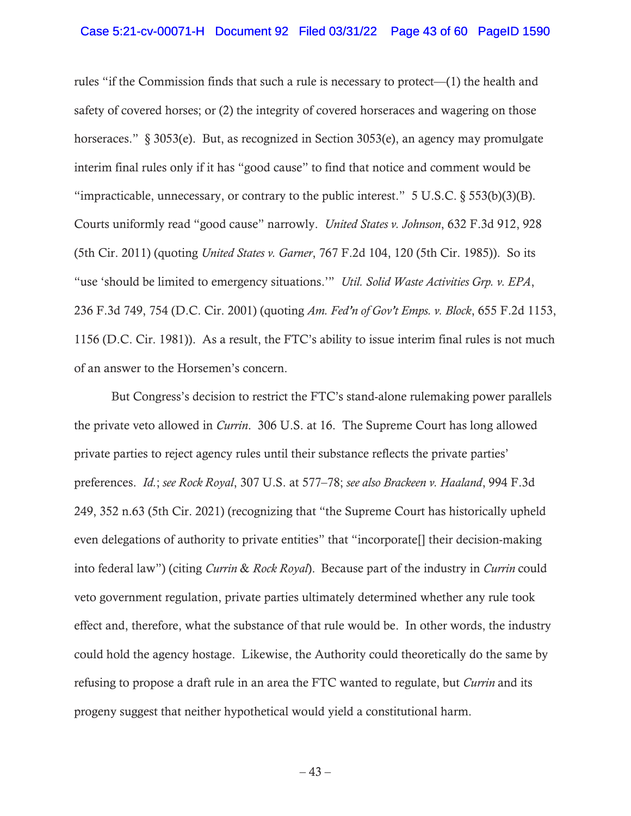### Case 5:21-cv-00071-H Document 92 Filed 03/31/22 Page 43 of 60 PageID 1590

rules "if the Commission finds that such a rule is necessary to protect—(1) the health and safety of covered horses; or (2) the integrity of covered horseraces and wagering on those horseraces." § 3053(e). But, as recognized in Section 3053(e), an agency may promulgate interim final rules only if it has "good cause" to find that notice and comment would be "impracticable, unnecessary, or contrary to the public interest."  $5 \text{ U.S.C.} \$  $553(b)(3)(B)$ . Courts uniformly read "good cause" narrowly. *United States v. Johnson*, 632 F.3d 912, 928 (5th Cir. 2011) (quoting *United States v. Garner*, 767 F.2d 104, 120 (5th Cir. 1985)). So its "use 'should be limited to emergency situations.'" *Util. Solid Waste Activities Grp. v. EPA*, 236 F.3d 749, 754 (D.C. Cir. 2001) (quoting *Am. Fed'n of Gov't Emps. v. Block*, 655 F.2d 1153, 1156 (D.C. Cir. 1981)). As a result, the FTC's ability to issue interim final rules is not much of an answer to the Horsemen's concern.

But Congress's decision to restrict the FTC's stand-alone rulemaking power parallels the private veto allowed in *Currin*. 306 U.S. at 16. The Supreme Court has long allowed private parties to reject agency rules until their substance reflects the private parties' preferences. *Id.*; *see Rock Royal*, 307 U.S. at 577–78; *see also Brackeen v. Haaland*, 994 F.3d 249, 352 n.63 (5th Cir. 2021) (recognizing that "the Supreme Court has historically upheld even delegations of authority to private entities" that "incorporate[] their decision-making into federal law") (citing *Currin* & *Rock Royal*).Because part of the industry in *Currin* could veto government regulation, private parties ultimately determined whether any rule took effect and, therefore, what the substance of that rule would be. In other words, the industry could hold the agency hostage. Likewise, the Authority could theoretically do the same by refusing to propose a draft rule in an area the FTC wanted to regulate, but *Currin* and its progeny suggest that neither hypothetical would yield a constitutional harm.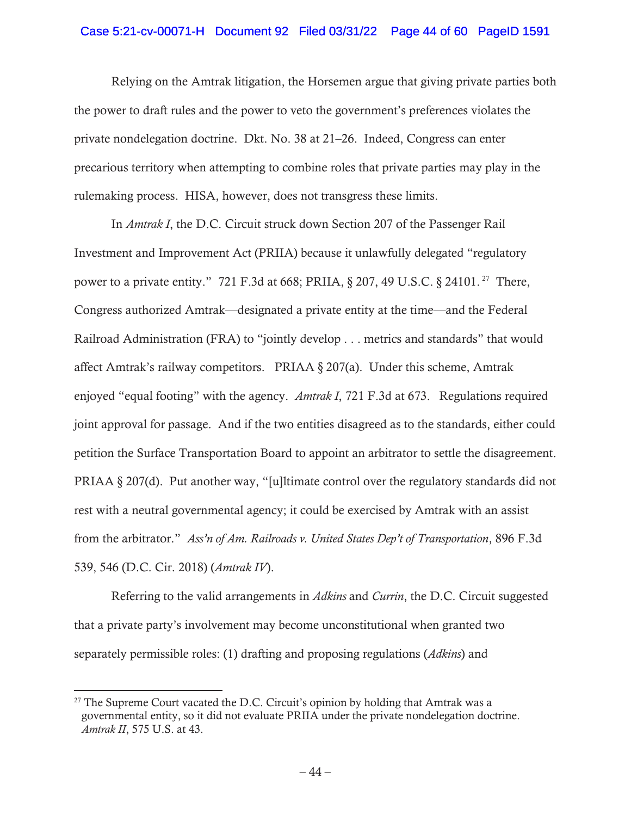### Case 5:21-cv-00071-H Document 92 Filed 03/31/22 Page 44 of 60 PageID 1591

Relying on the Amtrak litigation, the Horsemen argue that giving private parties both the power to draft rules and the power to veto the government's preferences violates the private nondelegation doctrine. Dkt. No. 38 at 21–26. Indeed, Congress can enter precarious territory when attempting to combine roles that private parties may play in the rulemaking process. HISA, however, does not transgress these limits.

In *Amtrak I*, the D.C. Circuit struck down Section 207 of the Passenger Rail Investment and Improvement Act (PRIIA) because it unlawfully delegated "regulatory power to a private entity." 721 F.3d at 668; PRIIA, § 207, 49 U.S.C. § 24101. 27 There, Congress authorized Amtrak—designated a private entity at the time—and the Federal Railroad Administration (FRA) to "jointly develop . . . metrics and standards" that would affect Amtrak's railway competitors. PRIAA § 207(a). Under this scheme, Amtrak enjoyed "equal footing" with the agency. *Amtrak I*, 721 F.3d at 673. Regulations required joint approval for passage. And if the two entities disagreed as to the standards, either could petition the Surface Transportation Board to appoint an arbitrator to settle the disagreement. PRIAA § 207(d). Put another way, "[u]ltimate control over the regulatory standards did not rest with a neutral governmental agency; it could be exercised by Amtrak with an assist from the arbitrator." *Ass'n of Am. Railroads v. United States Dep't of Transportation*, 896 F.3d 539, 546 (D.C. Cir. 2018) (*Amtrak IV*).

Referring to the valid arrangements in *Adkins* and *Currin*, the D.C. Circuit suggested that a private party's involvement may become unconstitutional when granted two separately permissible roles: (1) drafting and proposing regulations (*Adkins*) and

 $27$  The Supreme Court vacated the D.C. Circuit's opinion by holding that Amtrak was a governmental entity, so it did not evaluate PRIIA under the private nondelegation doctrine. *Amtrak II*, 575 U.S. at 43.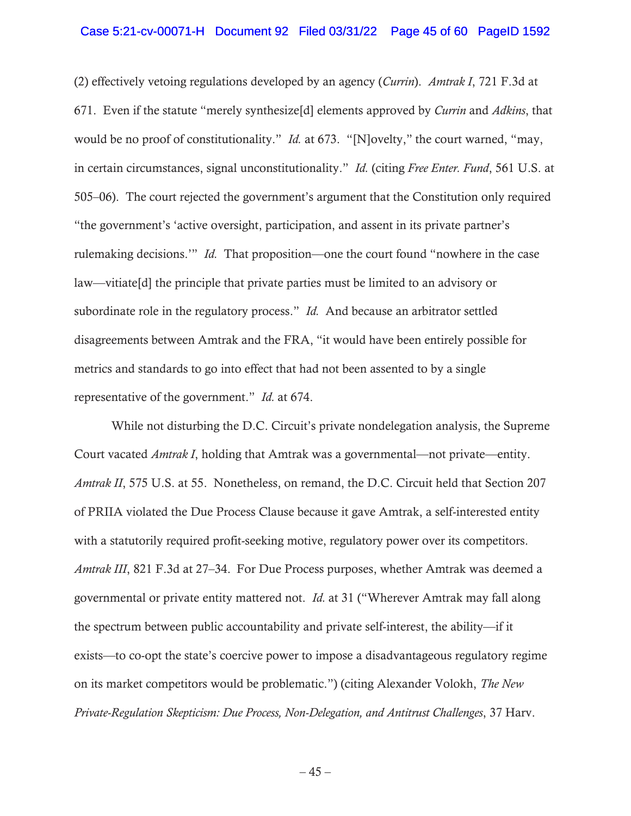### Case 5:21-cv-00071-H Document 92 Filed 03/31/22 Page 45 of 60 PageID 1592

(2) effectively vetoing regulations developed by an agency (*Currin*). *Amtrak I*, 721 F.3d at 671. Even if the statute "merely synthesize[d] elements approved by *Currin* and *Adkins*, that would be no proof of constitutionality." *Id.* at 673. "[N]ovelty," the court warned, "may, in certain circumstances, signal unconstitutionality." *Id.* (citing *Free Enter. Fund*, 561 U.S. at 505–06). The court rejected the government's argument that the Constitution only required "the government's 'active oversight, participation, and assent in its private partner's rulemaking decisions.'" *Id.* That proposition—one the court found "nowhere in the case law—vitiate[d] the principle that private parties must be limited to an advisory or subordinate role in the regulatory process." *Id.* And because an arbitrator settled disagreements between Amtrak and the FRA, "it would have been entirely possible for metrics and standards to go into effect that had not been assented to by a single representative of the government." *Id.* at 674.

While not disturbing the D.C. Circuit's private nondelegation analysis, the Supreme Court vacated *Amtrak I*, holding that Amtrak was a governmental—not private—entity. *Amtrak II*, 575 U.S. at 55. Nonetheless, on remand, the D.C. Circuit held that Section 207 of PRIIA violated the Due Process Clause because it gave Amtrak, a self-interested entity with a statutorily required profit-seeking motive, regulatory power over its competitors. *Amtrak III*, 821 F.3d at 27–34. For Due Process purposes, whether Amtrak was deemed a governmental or private entity mattered not. *Id.* at 31 ("Wherever Amtrak may fall along the spectrum between public accountability and private self-interest, the ability—if it exists—to co-opt the state's coercive power to impose a disadvantageous regulatory regime on its market competitors would be problematic.") (citing Alexander Volokh, *The New Private-Regulation Skepticism: Due Process, Non-Delegation, and Antitrust Challenges*, 37 Harv.

 $-45-$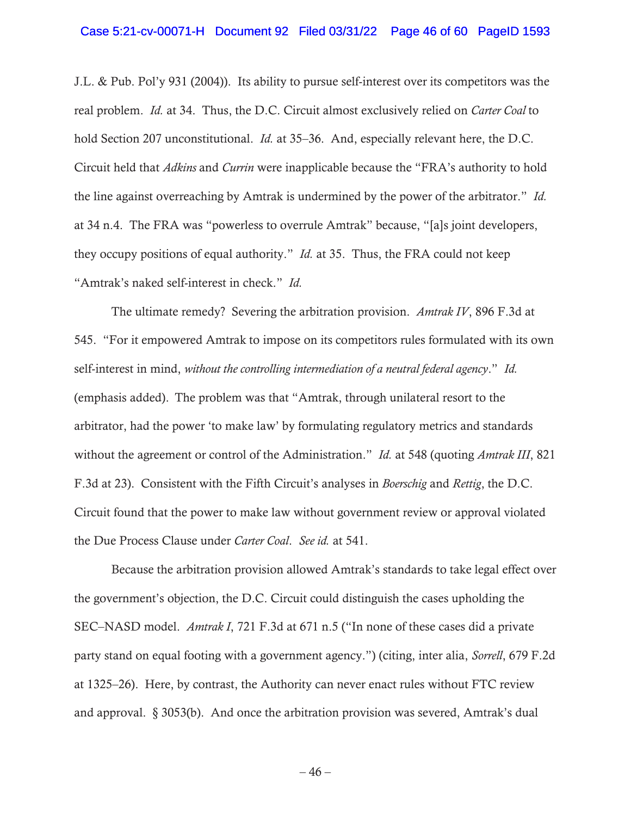#### Case 5:21-cv-00071-H Document 92 Filed 03/31/22 Page 46 of 60 PageID 1593

J.L. & Pub. Pol'y 931 (2004)). Its ability to pursue self-interest over its competitors was the real problem. *Id.* at 34. Thus, the D.C. Circuit almost exclusively relied on *Carter Coal* to hold Section 207 unconstitutional. *Id.* at 35–36. And, especially relevant here, the D.C. Circuit held that *Adkins* and *Currin* were inapplicable because the "FRA's authority to hold the line against overreaching by Amtrak is undermined by the power of the arbitrator." *Id.* at 34 n.4. The FRA was "powerless to overrule Amtrak" because, "[a]s joint developers, they occupy positions of equal authority." *Id.* at 35. Thus, the FRA could not keep "Amtrak's naked self-interest in check." *Id.*

The ultimate remedy? Severing the arbitration provision. *Amtrak IV*, 896 F.3d at 545. "For it empowered Amtrak to impose on its competitors rules formulated with its own self-interest in mind, *without the controlling intermediation of a neutral federal agency*." *Id.*  (emphasis added).The problem was that "Amtrak, through unilateral resort to the arbitrator, had the power 'to make law' by formulating regulatory metrics and standards without the agreement or control of the Administration." *Id.* at 548 (quoting *Amtrak III*, 821 F.3d at 23). Consistent with the Fifth Circuit's analyses in *Boerschig* and *Rettig*, the D.C. Circuit found that the power to make law without government review or approval violated the Due Process Clause under *Carter Coal*. *See id.* at 541.

Because the arbitration provision allowed Amtrak's standards to take legal effect over the government's objection, the D.C. Circuit could distinguish the cases upholding the SEC–NASD model. *Amtrak I*, 721 F.3d at 671 n.5 ("In none of these cases did a private party stand on equal footing with a government agency.") (citing, inter alia, *Sorrell*, 679 F.2d at 1325–26). Here, by contrast, the Authority can never enact rules without FTC review and approval. § 3053(b). And once the arbitration provision was severed, Amtrak's dual

 $-46-$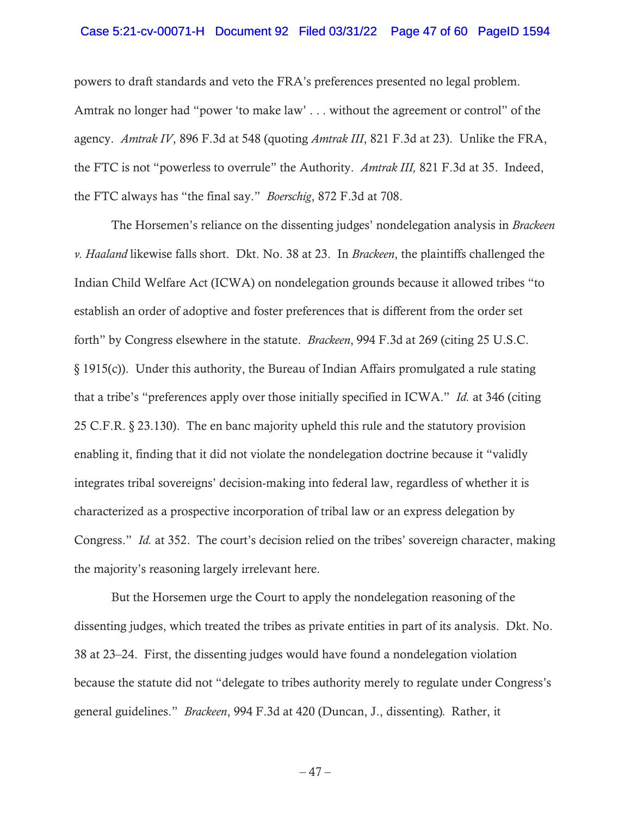### Case 5:21-cv-00071-H Document 92 Filed 03/31/22 Page 47 of 60 PageID 1594

powers to draft standards and veto the FRA's preferences presented no legal problem. Amtrak no longer had "power 'to make law' . . . without the agreement or control" of the agency. *Amtrak IV*, 896 F.3d at 548 (quoting *Amtrak III*, 821 F.3d at 23). Unlike the FRA, the FTC is not "powerless to overrule" the Authority. *Amtrak III,* 821 F.3d at 35. Indeed, the FTC always has "the final say." *Boerschig*, 872 F.3d at 708.

The Horsemen's reliance on the dissenting judges' nondelegation analysis in *Brackeen v. Haaland* likewise falls short. Dkt. No. 38 at 23. In *Brackeen*, the plaintiffs challenged the Indian Child Welfare Act (ICWA) on nondelegation grounds because it allowed tribes "to establish an order of adoptive and foster preferences that is different from the order set forth" by Congress elsewhere in the statute. *Brackeen*, 994 F.3d at 269 (citing 25 U.S.C. § 1915(c)). Under this authority, the Bureau of Indian Affairs promulgated a rule stating that a tribe's "preferences apply over those initially specified in ICWA." *Id.* at 346 (citing 25 C.F.R. § 23.130). The en banc majority upheld this rule and the statutory provision enabling it, finding that it did not violate the nondelegation doctrine because it "validly integrates tribal sovereigns' decision-making into federal law, regardless of whether it is characterized as a prospective incorporation of tribal law or an express delegation by Congress." *Id.* at 352. The court's decision relied on the tribes' sovereign character, making the majority's reasoning largely irrelevant here.

But the Horsemen urge the Court to apply the nondelegation reasoning of the dissenting judges, which treated the tribes as private entities in part of its analysis. Dkt. No. 38 at 23–24. First, the dissenting judges would have found a nondelegation violation because the statute did not "delegate to tribes authority merely to regulate under Congress's general guidelines." *Brackeen*, 994 F.3d at 420 (Duncan, J., dissenting)*.* Rather, it

 $-47-$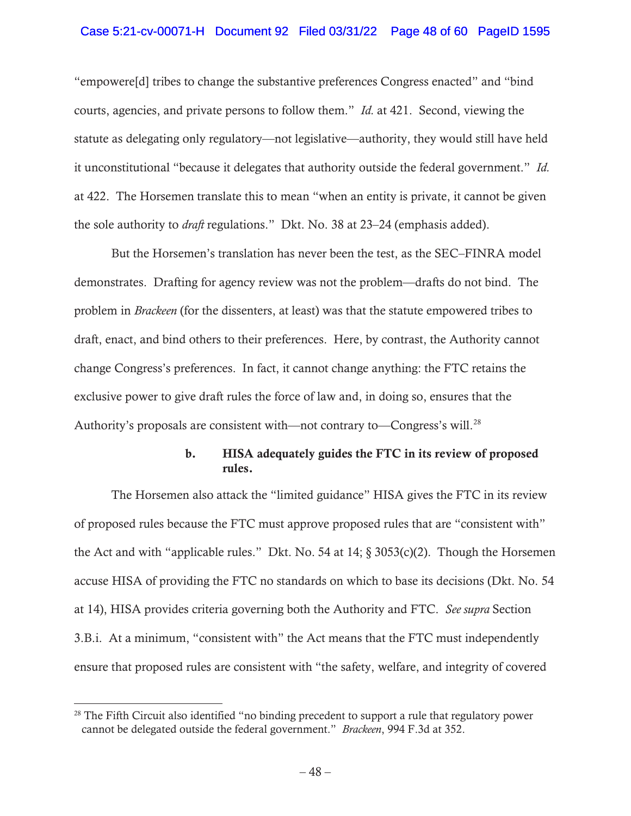## Case 5:21-cv-00071-H Document 92 Filed 03/31/22 Page 48 of 60 PageID 1595

"empowere[d] tribes to change the substantive preferences Congress enacted" and "bind courts, agencies, and private persons to follow them." *Id.* at 421. Second, viewing the statute as delegating only regulatory—not legislative—authority, they would still have held it unconstitutional "because it delegates that authority outside the federal government." *Id.* at 422. The Horsemen translate this to mean "when an entity is private, it cannot be given the sole authority to *draft* regulations." Dkt. No. 38 at 23–24 (emphasis added).

But the Horsemen's translation has never been the test, as the SEC–FINRA model demonstrates. Drafting for agency review was not the problem—drafts do not bind. The problem in *Brackeen* (for the dissenters, at least) was that the statute empowered tribes to draft, enact, and bind others to their preferences. Here, by contrast, the Authority cannot change Congress's preferences. In fact, it cannot change anything: the FTC retains the exclusive power to give draft rules the force of law and, in doing so, ensures that the Authority's proposals are consistent with—not contrary to—Congress's will.<sup>28</sup>

# b. HISA adequately guides the FTC in its review of proposed rules.

The Horsemen also attack the "limited guidance" HISA gives the FTC in its review of proposed rules because the FTC must approve proposed rules that are "consistent with" the Act and with "applicable rules." Dkt. No. 54 at  $14$ ;  $\S$  3053(c)(2). Though the Horsemen accuse HISA of providing the FTC no standards on which to base its decisions (Dkt. No. 54 at 14), HISA provides criteria governing both the Authority and FTC. *See supra* Section 3.B.i. At a minimum, "consistent with" the Act means that the FTC must independently ensure that proposed rules are consistent with "the safety, welfare, and integrity of covered

 $28$  The Fifth Circuit also identified "no binding precedent to support a rule that regulatory power cannot be delegated outside the federal government." *Brackeen*, 994 F.3d at 352.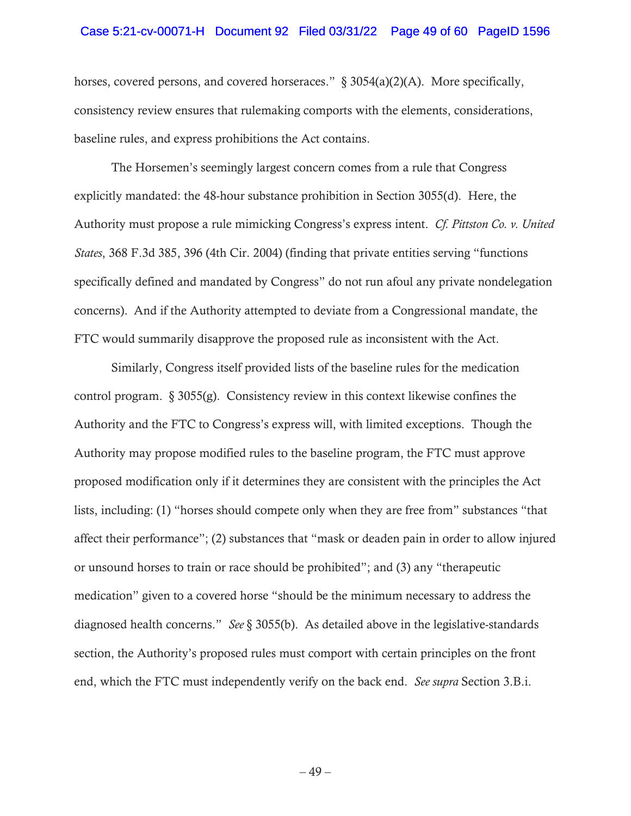### Case 5:21-cv-00071-H Document 92 Filed 03/31/22 Page 49 of 60 PageID 1596

horses, covered persons, and covered horseraces." § 3054(a)(2)(A). More specifically, consistency review ensures that rulemaking comports with the elements, considerations, baseline rules, and express prohibitions the Act contains.

The Horsemen's seemingly largest concern comes from a rule that Congress explicitly mandated: the 48-hour substance prohibition in Section 3055(d). Here, the Authority must propose a rule mimicking Congress's express intent. *Cf. Pittston Co. v. United States*, 368 F.3d 385, 396 (4th Cir. 2004) (finding that private entities serving "functions specifically defined and mandated by Congress" do not run afoul any private nondelegation concerns). And if the Authority attempted to deviate from a Congressional mandate, the FTC would summarily disapprove the proposed rule as inconsistent with the Act.

Similarly, Congress itself provided lists of the baseline rules for the medication control program. § 3055(g). Consistency review in this context likewise confines the Authority and the FTC to Congress's express will, with limited exceptions. Though the Authority may propose modified rules to the baseline program, the FTC must approve proposed modification only if it determines they are consistent with the principles the Act lists, including: (1) "horses should compete only when they are free from" substances "that affect their performance"; (2) substances that "mask or deaden pain in order to allow injured or unsound horses to train or race should be prohibited"; and (3) any "therapeutic medication" given to a covered horse "should be the minimum necessary to address the diagnosed health concerns." *See* § 3055(b). As detailed above in the legislative-standards section, the Authority's proposed rules must comport with certain principles on the front end, which the FTC must independently verify on the back end. *See supra* Section 3.B.i.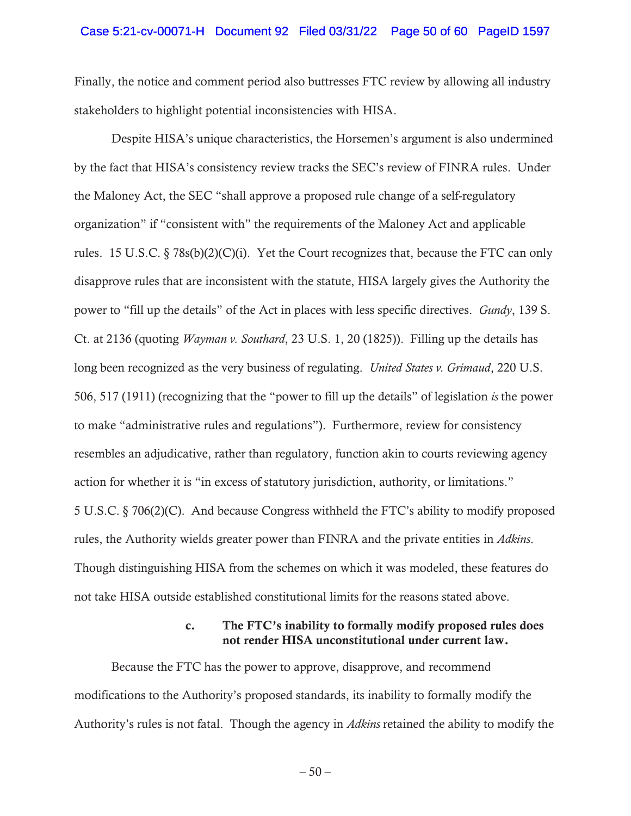### Case 5:21-cv-00071-H Document 92 Filed 03/31/22 Page 50 of 60 PageID 1597

Finally, the notice and comment period also buttresses FTC review by allowing all industry stakeholders to highlight potential inconsistencies with HISA.

Despite HISA's unique characteristics, the Horsemen's argument is also undermined by the fact that HISA's consistency review tracks the SEC's review of FINRA rules. Under the Maloney Act, the SEC "shall approve a proposed rule change of a self-regulatory organization" if "consistent with" the requirements of the Maloney Act and applicable rules. 15 U.S.C.  $\S 78s(b)(2)(C)(i)$ . Yet the Court recognizes that, because the FTC can only disapprove rules that are inconsistent with the statute, HISA largely gives the Authority the power to "fill up the details" of the Act in places with less specific directives. *Gundy*, 139 S. Ct. at 2136 (quoting *Wayman v. Southard*, 23 U.S. 1, 20 (1825)). Filling up the details has long been recognized as the very business of regulating. *United States v. Grimaud*, 220 U.S. 506, 517 (1911) (recognizing that the "power to fill up the details" of legislation *is* the power to make "administrative rules and regulations"). Furthermore, review for consistency resembles an adjudicative, rather than regulatory, function akin to courts reviewing agency action for whether it is "in excess of statutory jurisdiction, authority, or limitations." 5 U.S.C. § 706(2)(C). And because Congress withheld the FTC's ability to modify proposed rules, the Authority wields greater power than FINRA and the private entities in *Adkins*. Though distinguishing HISA from the schemes on which it was modeled, these features do not take HISA outside established constitutional limits for the reasons stated above.

# c. The FTC's inability to formally modify proposed rules does not render HISA unconstitutional under current law.

Because the FTC has the power to approve, disapprove, and recommend modifications to the Authority's proposed standards, its inability to formally modify the Authority's rules is not fatal. Though the agency in *Adkins* retained the ability to modify the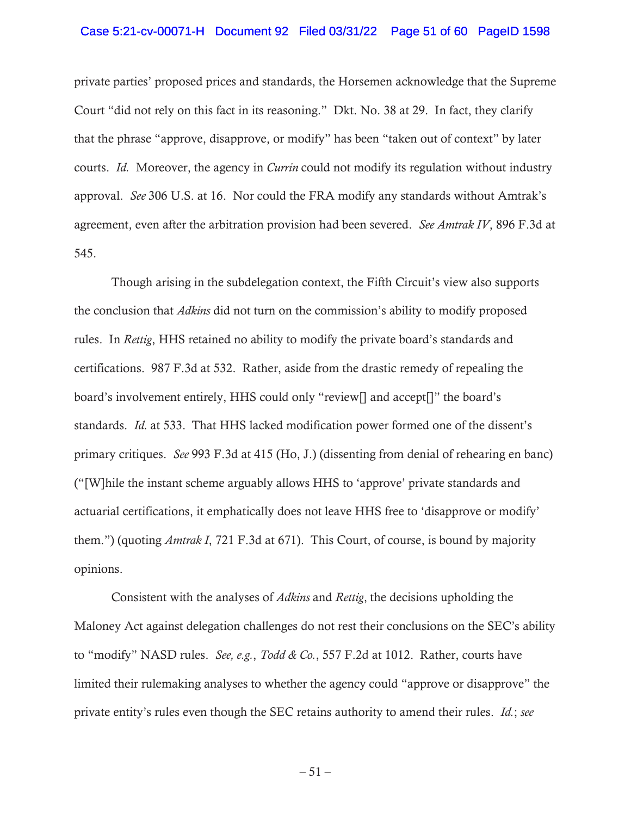### Case 5:21-cv-00071-H Document 92 Filed 03/31/22 Page 51 of 60 PageID 1598

private parties' proposed prices and standards, the Horsemen acknowledge that the Supreme Court "did not rely on this fact in its reasoning." Dkt. No. 38 at 29. In fact, they clarify that the phrase "approve, disapprove, or modify" has been "taken out of context" by later courts. *Id.* Moreover, the agency in *Currin* could not modify its regulation without industry approval. *See* 306 U.S. at 16. Nor could the FRA modify any standards without Amtrak's agreement, even after the arbitration provision had been severed. *See Amtrak IV*, 896 F.3d at 545.

Though arising in the subdelegation context, the Fifth Circuit's view also supports the conclusion that *Adkins* did not turn on the commission's ability to modify proposed rules. In *Rettig*, HHS retained no ability to modify the private board's standards and certifications. 987 F.3d at 532. Rather, aside from the drastic remedy of repealing the board's involvement entirely, HHS could only "review[] and accept[]" the board's standards. *Id.* at 533. That HHS lacked modification power formed one of the dissent's primary critiques. *See* 993 F.3d at 415 (Ho, J.) (dissenting from denial of rehearing en banc) ("[W]hile the instant scheme arguably allows HHS to 'approve' private standards and actuarial certifications, it emphatically does not leave HHS free to 'disapprove or modify' them.") (quoting *Amtrak I*, 721 F.3d at 671). This Court, of course, is bound by majority opinions.

Consistent with the analyses of *Adkins* and *Rettig*, the decisions upholding the Maloney Act against delegation challenges do not rest their conclusions on the SEC's ability to "modify" NASD rules. *See, e.g.*, *Todd & Co.*, 557 F.2d at 1012. Rather, courts have limited their rulemaking analyses to whether the agency could "approve or disapprove" the private entity's rules even though the SEC retains authority to amend their rules. *Id.*; *see* 

 $-51-$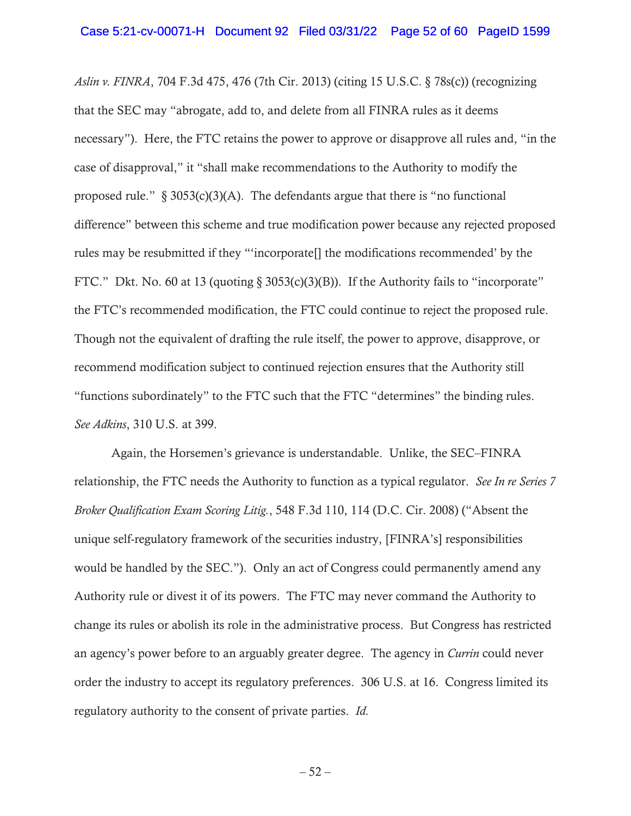*Aslin v. FINRA*, 704 F.3d 475, 476 (7th Cir. 2013) (citing 15 U.S.C. § 78s(c)) (recognizing that the SEC may "abrogate, add to, and delete from all FINRA rules as it deems necessary"). Here, the FTC retains the power to approve or disapprove all rules and, "in the case of disapproval," it "shall make recommendations to the Authority to modify the proposed rule."  $\S 3053(c)(3)(A)$ . The defendants argue that there is "no functional difference" between this scheme and true modification power because any rejected proposed rules may be resubmitted if they "'incorporate[] the modifications recommended' by the FTC." Dkt. No. 60 at 13 (quoting § 3053(c)(3)(B)). If the Authority fails to "incorporate" the FTC's recommended modification, the FTC could continue to reject the proposed rule. Though not the equivalent of drafting the rule itself, the power to approve, disapprove, or recommend modification subject to continued rejection ensures that the Authority still "functions subordinately" to the FTC such that the FTC "determines" the binding rules. *See Adkins*, 310 U.S. at 399.

Again, the Horsemen's grievance is understandable. Unlike, the SEC–FINRA relationship, the FTC needs the Authority to function as a typical regulator. *See In re Series 7 Broker Qualification Exam Scoring Litig.*, 548 F.3d 110, 114 (D.C. Cir. 2008) ("Absent the unique self-regulatory framework of the securities industry, [FINRA's] responsibilities would be handled by the SEC."). Only an act of Congress could permanently amend any Authority rule or divest it of its powers. The FTC may never command the Authority to change its rules or abolish its role in the administrative process. But Congress has restricted an agency's power before to an arguably greater degree. The agency in *Currin* could never order the industry to accept its regulatory preferences. 306 U.S. at 16. Congress limited its regulatory authority to the consent of private parties. *Id.* 

 $-52-$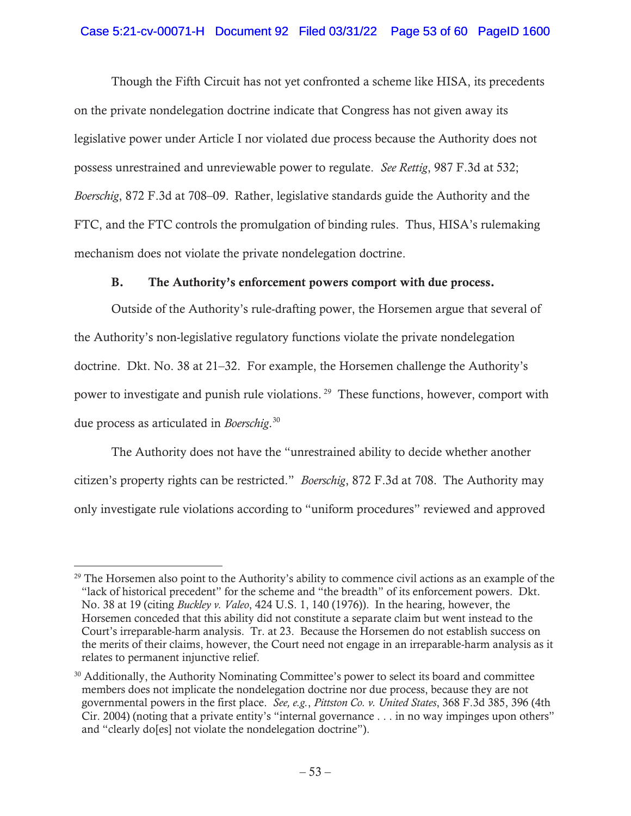# Case 5:21-cv-00071-H Document 92 Filed 03/31/22 Page 53 of 60 PageID 1600

Though the Fifth Circuit has not yet confronted a scheme like HISA, its precedents on the private nondelegation doctrine indicate that Congress has not given away its legislative power under Article I nor violated due process because the Authority does not possess unrestrained and unreviewable power to regulate. *See Rettig*, 987 F.3d at 532; *Boerschig*, 872 F.3d at 708–09.Rather, legislative standards guide the Authority and the FTC, and the FTC controls the promulgation of binding rules. Thus, HISA's rulemaking mechanism does not violate the private nondelegation doctrine.

## B. The Authority's enforcement powers comport with due process.

Outside of the Authority's rule-drafting power, the Horsemen argue that several of the Authority's non-legislative regulatory functions violate the private nondelegation doctrine. Dkt. No. 38 at 21–32. For example, the Horsemen challenge the Authority's power to investigate and punish rule violations. 29 These functions, however, comport with due process as articulated in *Boerschig*. 30

The Authority does not have the "unrestrained ability to decide whether another citizen's property rights can be restricted." *Boerschig*, 872 F.3d at 708. The Authority may only investigate rule violations according to "uniform procedures" reviewed and approved

<sup>&</sup>lt;sup>29</sup> The Horsemen also point to the Authority's ability to commence civil actions as an example of the "lack of historical precedent" for the scheme and "the breadth" of its enforcement powers. Dkt. No. 38 at 19 (citing *Buckley v. Valeo*, 424 U.S. 1, 140 (1976)). In the hearing, however, the Horsemen conceded that this ability did not constitute a separate claim but went instead to the Court's irreparable-harm analysis. Tr. at 23. Because the Horsemen do not establish success on the merits of their claims, however, the Court need not engage in an irreparable-harm analysis as it relates to permanent injunctive relief.

<sup>&</sup>lt;sup>30</sup> Additionally, the Authority Nominating Committee's power to select its board and committee members does not implicate the nondelegation doctrine nor due process, because they are not governmental powers in the first place. *See, e.g.*, *Pittston Co. v. United States*, 368 F.3d 385, 396 (4th Cir. 2004) (noting that a private entity's "internal governance . . . in no way impinges upon others" and "clearly do[es] not violate the nondelegation doctrine").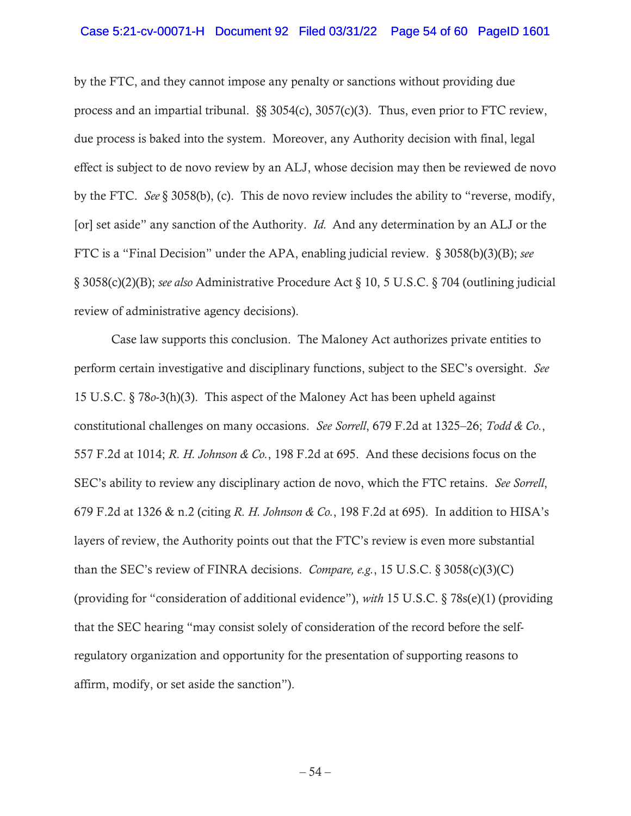### Case 5:21-cv-00071-H Document 92 Filed 03/31/22 Page 54 of 60 PageID 1601

by the FTC, and they cannot impose any penalty or sanctions without providing due process and an impartial tribunal. §§ 3054(c), 3057(c)(3). Thus, even prior to FTC review, due process is baked into the system. Moreover, any Authority decision with final, legal effect is subject to de novo review by an ALJ, whose decision may then be reviewed de novo by the FTC. *See* § 3058(b), (c). This de novo review includes the ability to "reverse, modify, [or] set aside" any sanction of the Authority. *Id.* And any determination by an ALJ or the FTC is a "Final Decision" under the APA, enabling judicial review. § 3058(b)(3)(B); *see*  § 3058(c)(2)(B); *see also* Administrative Procedure Act § 10, 5 U.S.C. § 704 (outlining judicial review of administrative agency decisions).

Case law supports this conclusion. The Maloney Act authorizes private entities to perform certain investigative and disciplinary functions, subject to the SEC's oversight. *See* 15 U.S.C. § 78*o*-3(h)(3). This aspect of the Maloney Act has been upheld against constitutional challenges on many occasions. *See Sorrell*, 679 F.2d at 1325–26; *Todd & Co.*, 557 F.2d at 1014; *R. H. Johnson & Co.*, 198 F.2d at 695. And these decisions focus on the SEC's ability to review any disciplinary action de novo, which the FTC retains. *See Sorrell*, 679 F.2d at 1326 & n.2 (citing *R. H. Johnson & Co.*, 198 F.2d at 695). In addition to HISA's layers of review, the Authority points out that the FTC's review is even more substantial than the SEC's review of FINRA decisions. *Compare, e.g.*, 15 U.S.C. § 3058(c)(3)(C) (providing for "consideration of additional evidence"), *with* 15 U.S.C. § 78s(e)(1) (providing that the SEC hearing "may consist solely of consideration of the record before the selfregulatory organization and opportunity for the presentation of supporting reasons to affirm, modify, or set aside the sanction").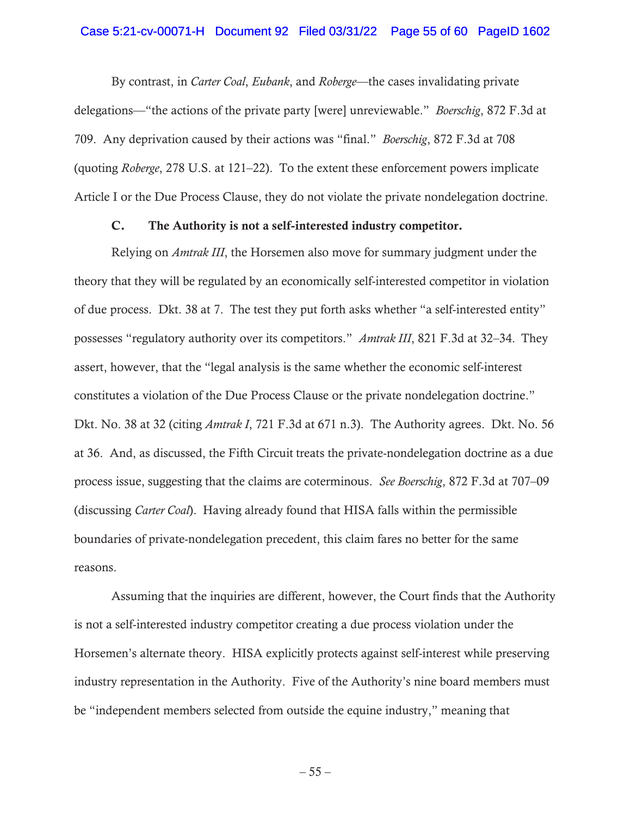### Case 5:21-cv-00071-H Document 92 Filed 03/31/22 Page 55 of 60 PageID 1602

By contrast, in *Carter Coal*, *Eubank*, and *Roberge*—the cases invalidating private delegations—"the actions of the private party [were] unreviewable." *Boerschig*, 872 F.3d at 709. Any deprivation caused by their actions was "final." *Boerschig*, 872 F.3d at 708 (quoting *Roberge*, 278 U.S. at 121–22). To the extent these enforcement powers implicate Article I or the Due Process Clause, they do not violate the private nondelegation doctrine.

## C. The Authority is not a self-interested industry competitor.

Relying on *Amtrak III*, the Horsemen also move for summary judgment under the theory that they will be regulated by an economically self-interested competitor in violation of due process. Dkt. 38 at 7. The test they put forth asks whether "a self-interested entity" possesses "regulatory authority over its competitors." *Amtrak III*, 821 F.3d at 32–34. They assert, however, that the "legal analysis is the same whether the economic self-interest constitutes a violation of the Due Process Clause or the private nondelegation doctrine." Dkt. No. 38 at 32 (citing *Amtrak I*, 721 F.3d at 671 n.3). The Authority agrees. Dkt. No. 56 at 36. And, as discussed, the Fifth Circuit treats the private-nondelegation doctrine as a due process issue, suggesting that the claims are coterminous. *See Boerschig*, 872 F.3d at 707–09 (discussing *Carter Coal*). Having already found that HISA falls within the permissible boundaries of private-nondelegation precedent, this claim fares no better for the same reasons.

Assuming that the inquiries are different, however, the Court finds that the Authority is not a self-interested industry competitor creating a due process violation under the Horsemen's alternate theory. HISA explicitly protects against self-interest while preserving industry representation in the Authority. Five of the Authority's nine board members must be "independent members selected from outside the equine industry," meaning that

 $-55-$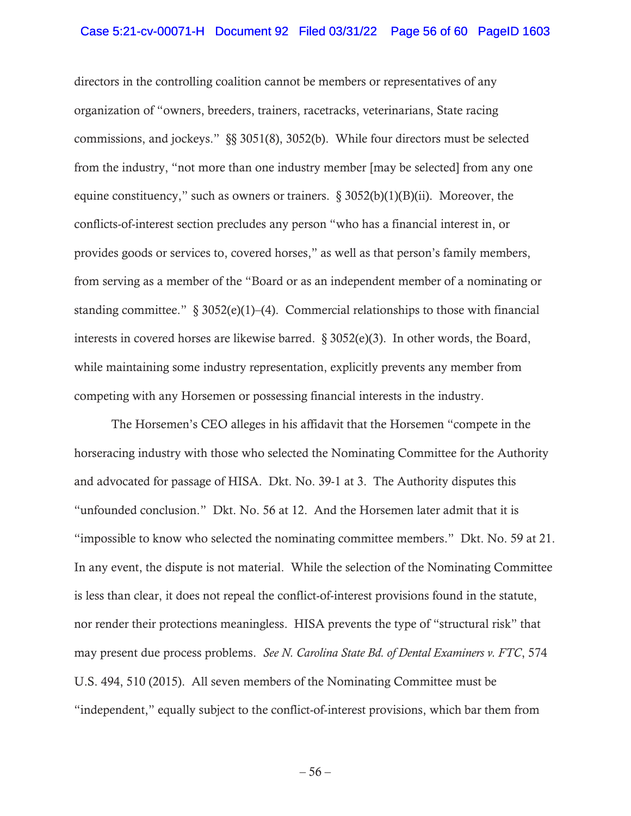### Case 5:21-cv-00071-H Document 92 Filed 03/31/22 Page 56 of 60 PageID 1603

directors in the controlling coalition cannot be members or representatives of any organization of "owners, breeders, trainers, racetracks, veterinarians, State racing commissions, and jockeys." §§ 3051(8), 3052(b). While four directors must be selected from the industry, "not more than one industry member [may be selected] from any one equine constituency," such as owners or trainers.  $\S 3052(b)(1)(B)(ii)$ . Moreover, the conflicts-of-interest section precludes any person "who has a financial interest in, or provides goods or services to, covered horses," as well as that person's family members, from serving as a member of the "Board or as an independent member of a nominating or standing committee."  $\S$  3052(e)(1)–(4). Commercial relationships to those with financial interests in covered horses are likewise barred. § 3052(e)(3). In other words, the Board, while maintaining some industry representation, explicitly prevents any member from competing with any Horsemen or possessing financial interests in the industry.

The Horsemen's CEO alleges in his affidavit that the Horsemen "compete in the horseracing industry with those who selected the Nominating Committee for the Authority and advocated for passage of HISA. Dkt. No. 39-1 at 3. The Authority disputes this "unfounded conclusion." Dkt. No. 56 at 12. And the Horsemen later admit that it is "impossible to know who selected the nominating committee members." Dkt. No. 59 at 21. In any event, the dispute is not material. While the selection of the Nominating Committee is less than clear, it does not repeal the conflict-of-interest provisions found in the statute, nor render their protections meaningless. HISA prevents the type of "structural risk" that may present due process problems. *See N. Carolina State Bd. of Dental Examiners v. FTC*, 574 U.S. 494, 510 (2015). All seven members of the Nominating Committee must be "independent," equally subject to the conflict-of-interest provisions, which bar them from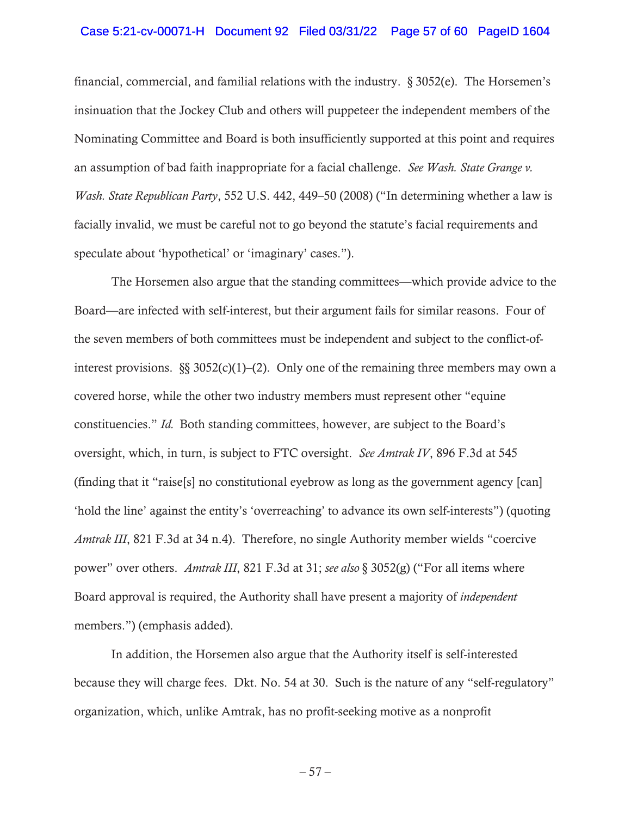### Case 5:21-cv-00071-H Document 92 Filed 03/31/22 Page 57 of 60 PageID 1604

financial, commercial, and familial relations with the industry. § 3052(e). The Horsemen's insinuation that the Jockey Club and others will puppeteer the independent members of the Nominating Committee and Board is both insufficiently supported at this point and requires an assumption of bad faith inappropriate for a facial challenge. *See Wash. State Grange v. Wash. State Republican Party*, 552 U.S. 442, 449–50 (2008) ("In determining whether a law is facially invalid, we must be careful not to go beyond the statute's facial requirements and speculate about 'hypothetical' or 'imaginary' cases.").

The Horsemen also argue that the standing committees—which provide advice to the Board—are infected with self-interest, but their argument fails for similar reasons. Four of the seven members of both committees must be independent and subject to the conflict-ofinterest provisions.  $\S$ § 3052(c)(1)–(2). Only one of the remaining three members may own a covered horse, while the other two industry members must represent other "equine constituencies." *Id.* Both standing committees, however, are subject to the Board's oversight, which, in turn, is subject to FTC oversight. *See Amtrak IV*, 896 F.3d at 545 (finding that it "raise[s] no constitutional eyebrow as long as the government agency [can] 'hold the line' against the entity's 'overreaching' to advance its own self-interests") (quoting *Amtrak III*, 821 F.3d at 34 n.4). Therefore, no single Authority member wields "coercive power" over others. *Amtrak III*, 821 F.3d at 31; *see also* § 3052(g) ("For all items where Board approval is required, the Authority shall have present a majority of *independent* members.") (emphasis added).

In addition, the Horsemen also argue that the Authority itself is self-interested because they will charge fees. Dkt. No. 54 at 30. Such is the nature of any "self-regulatory" organization, which, unlike Amtrak, has no profit-seeking motive as a nonprofit

 $-57-$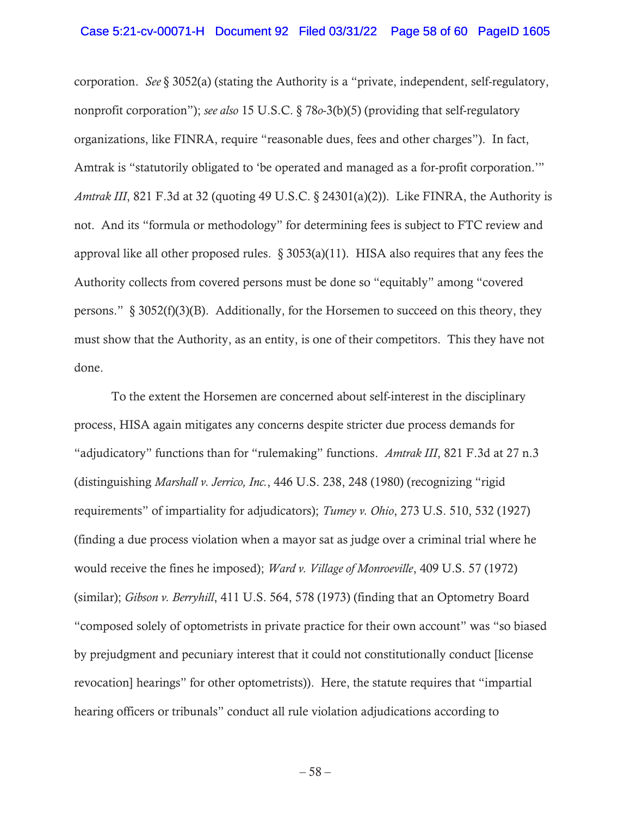### Case 5:21-cv-00071-H Document 92 Filed 03/31/22 Page 58 of 60 PageID 1605

corporation. *See* § 3052(a) (stating the Authority is a "private, independent, self-regulatory, nonprofit corporation"); *see also* 15 U.S.C. § 78*o*-3(b)(5) (providing that self-regulatory organizations, like FINRA, require "reasonable dues, fees and other charges"). In fact, Amtrak is "statutorily obligated to 'be operated and managed as a for-profit corporation.'" *Amtrak III*, 821 F.3d at 32 (quoting 49 U.S.C. § 24301(a)(2)). Like FINRA, the Authority is not. And its "formula or methodology" for determining fees is subject to FTC review and approval like all other proposed rules.  $\S 3053(a)(11)$ . HISA also requires that any fees the Authority collects from covered persons must be done so "equitably" among "covered persons."  $\S 3052(f)(3)(B)$ . Additionally, for the Horsemen to succeed on this theory, they must show that the Authority, as an entity, is one of their competitors. This they have not done.

To the extent the Horsemen are concerned about self-interest in the disciplinary process, HISA again mitigates any concerns despite stricter due process demands for "adjudicatory" functions than for "rulemaking" functions. *Amtrak III*, 821 F.3d at 27 n.3 (distinguishing *Marshall v. Jerrico, Inc.*, 446 U.S. 238, 248 (1980) (recognizing "rigid requirements" of impartiality for adjudicators); *Tumey v. Ohio*, 273 U.S. 510, 532 (1927) (finding a due process violation when a mayor sat as judge over a criminal trial where he would receive the fines he imposed); *Ward v. Village of Monroeville*, 409 U.S. 57 (1972) (similar); *Gibson v. Berryhill*, 411 U.S. 564, 578 (1973) (finding that an Optometry Board "composed solely of optometrists in private practice for their own account" was "so biased by prejudgment and pecuniary interest that it could not constitutionally conduct [license revocation] hearings" for other optometrists)). Here, the statute requires that "impartial hearing officers or tribunals" conduct all rule violation adjudications according to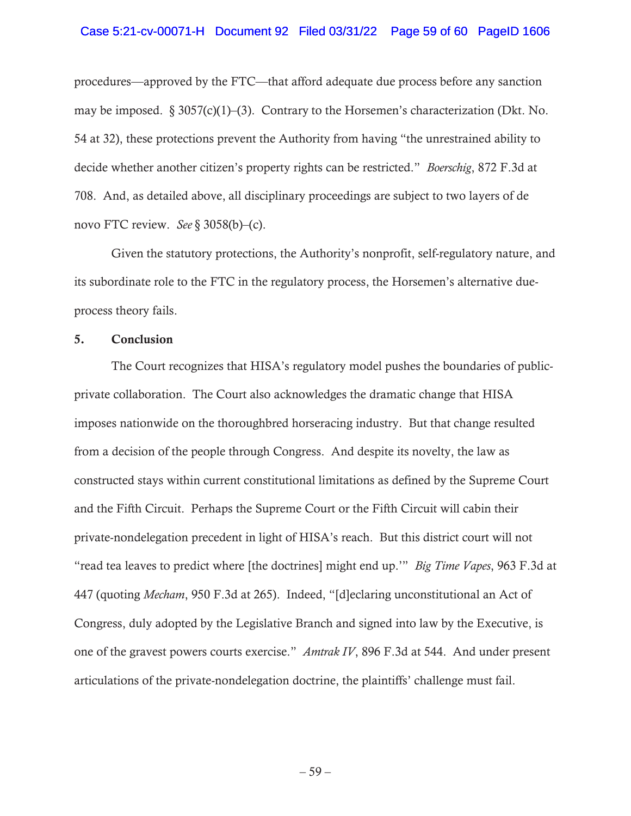### Case 5:21-cv-00071-H Document 92 Filed 03/31/22 Page 59 of 60 PageID 1606

procedures—approved by the FTC—that afford adequate due process before any sanction may be imposed.  $\S 3057(c)(1)$ –(3). Contrary to the Horsemen's characterization (Dkt. No. 54 at 32), these protections prevent the Authority from having "the unrestrained ability to decide whether another citizen's property rights can be restricted." *Boerschig*, 872 F.3d at 708. And, as detailed above, all disciplinary proceedings are subject to two layers of de novo FTC review. *See* § 3058(b)–(c).

Given the statutory protections, the Authority's nonprofit, self-regulatory nature, and its subordinate role to the FTC in the regulatory process, the Horsemen's alternative dueprocess theory fails.

## 5. Conclusion

The Court recognizes that HISA's regulatory model pushes the boundaries of publicprivate collaboration. The Court also acknowledges the dramatic change that HISA imposes nationwide on the thoroughbred horseracing industry. But that change resulted from a decision of the people through Congress. And despite its novelty, the law as constructed stays within current constitutional limitations as defined by the Supreme Court and the Fifth Circuit. Perhaps the Supreme Court or the Fifth Circuit will cabin their private-nondelegation precedent in light of HISA's reach. But this district court will not "read tea leaves to predict where [the doctrines] might end up.'" *Big Time Vapes*, 963 F.3d at 447 (quoting *Mecham*, 950 F.3d at 265). Indeed, "[d]eclaring unconstitutional an Act of Congress, duly adopted by the Legislative Branch and signed into law by the Executive, is one of the gravest powers courts exercise." *Amtrak IV*, 896 F.3d at 544. And under present articulations of the private-nondelegation doctrine, the plaintiffs' challenge must fail.